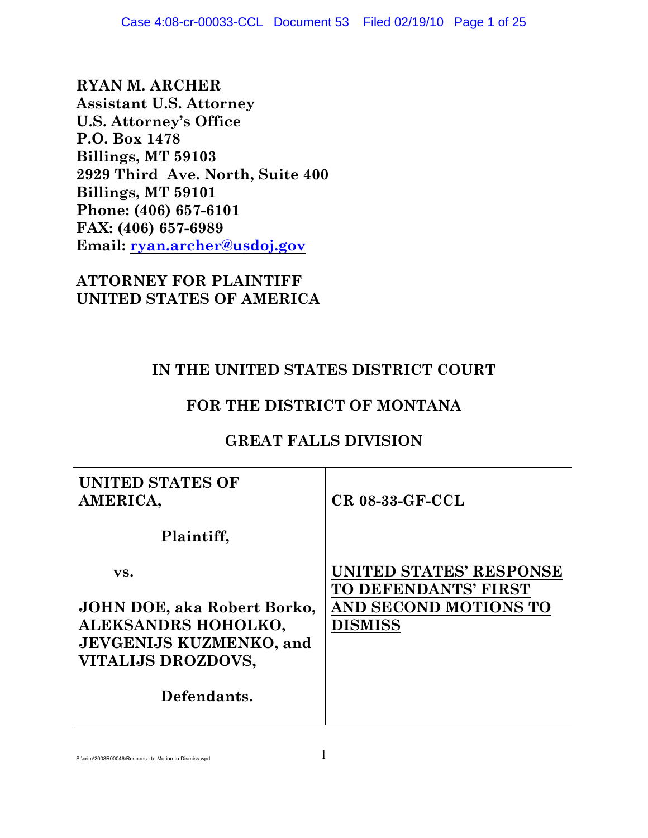**RYAN M. ARCHER Assistant U.S. Attorney U.S. Attorney's Office P.O. Box 1478 Billings, MT 59103 2929 Third Ave. North, Suite 400 Billings, MT 59101 Phone: (406) 657-6101 FAX: (406) 657-6989 Email: [ryan.archer@usdoj.gov](mailto:jim.seykora@usdoj.gov)**

**ATTORNEY FOR PLAINTIFF UNITED STATES OF AMERICA**

# **IN THE UNITED STATES DISTRICT COURT**

# **FOR THE DISTRICT OF MONTANA**

# **GREAT FALLS DIVISION**

| <b>UNITED STATES OF</b><br>AMERICA, | $CR$ 08-33-GF-CCL                               |
|-------------------------------------|-------------------------------------------------|
| Plaintiff,                          |                                                 |
| VS.                                 | UNITED STATES' RESPONSE<br>TO DEFENDANTS' FIRST |
| JOHN DOE, aka Robert Borko,         | AND SECOND MOTIONS TO                           |
| ALEKSANDRS HOHOLKO,                 | <b>DISMISS</b>                                  |
| <b>JEVGENIJS KUZMENKO, and</b>      |                                                 |
| VITALIJS DROZDOVS,                  |                                                 |
| Defendants.                         |                                                 |

S:\crim\2008R00046\Response to Motion to Dismiss.wpd  $1$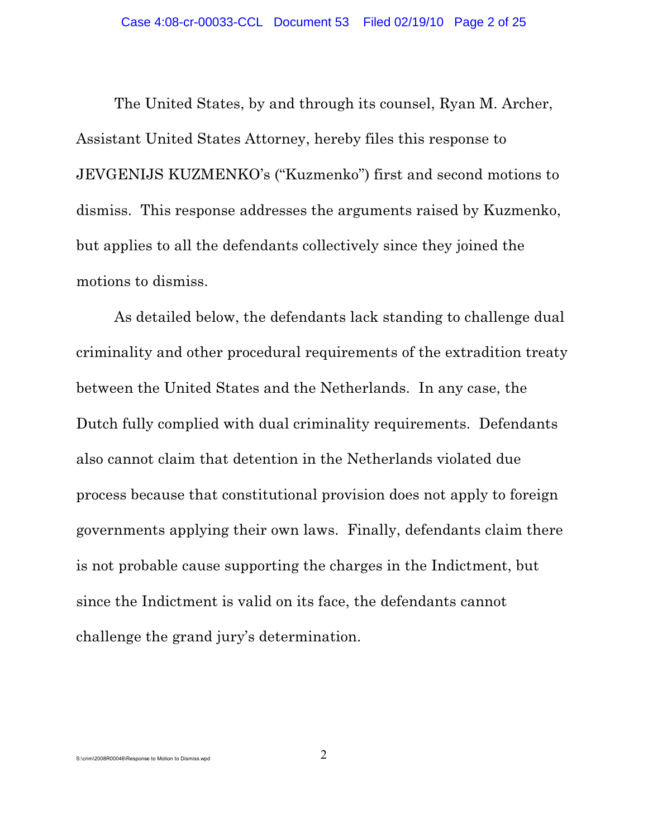The United States, by and through its counsel, Ryan M. Archer, Assistant United States Attorney, hereby files this response to JEVGENIJS KUZMENKO's ("Kuzmenko") first and second motions to dismiss. This response addresses the arguments raised by Kuzmenko, but applies to all the defendants collectively since they joined the motions to dismiss.

As detailed below, the defendants lack standing to challenge dual criminality and other procedural requirements of the extradition treaty between the United States and the Netherlands. In any case, the Dutch fully complied with dual criminality requirements. Defendants also cannot claim that detention in the Netherlands violated due process because that constitutional provision does not apply to foreign governments applying their own laws. Finally, defendants claim there is not probable cause supporting the charges in the Indictment, but since the Indictment is valid on its face, the defendants cannot challenge the grand jury's determination.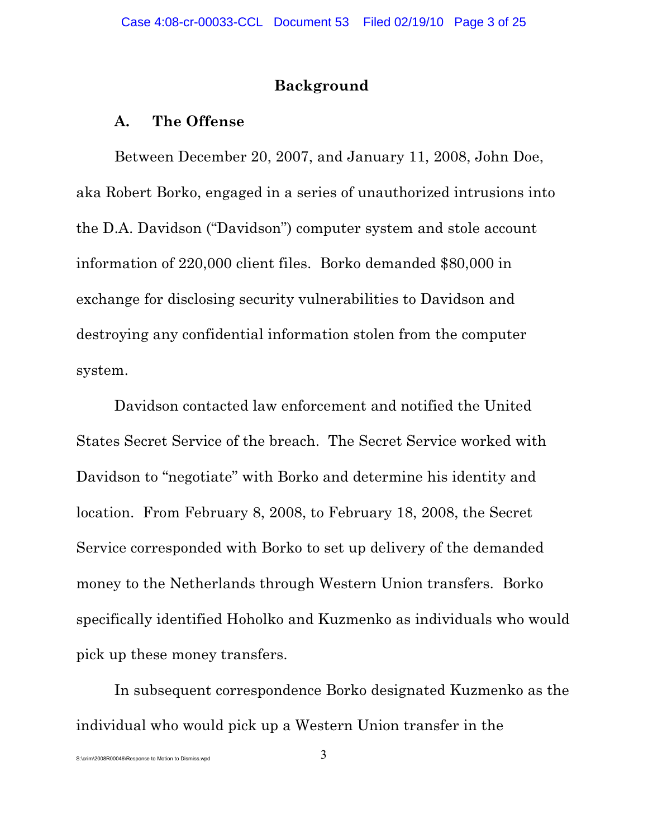## **Background**

## **A. The Offense**

Between December 20, 2007, and January 11, 2008, John Doe, aka Robert Borko, engaged in a series of unauthorized intrusions into the D.A. Davidson ("Davidson") computer system and stole account information of 220,000 client files. Borko demanded \$80,000 in exchange for disclosing security vulnerabilities to Davidson and destroying any confidential information stolen from the computer system.

Davidson contacted law enforcement and notified the United States Secret Service of the breach. The Secret Service worked with Davidson to "negotiate" with Borko and determine his identity and location. From February 8, 2008, to February 18, 2008, the Secret Service corresponded with Borko to set up delivery of the demanded money to the Netherlands through Western Union transfers. Borko specifically identified Hoholko and Kuzmenko as individuals who would pick up these money transfers.

In subsequent correspondence Borko designated Kuzmenko as the individual who would pick up a Western Union transfer in the

S:\crim\2008R00046\Response to Motion to Dismiss.wpd  $3$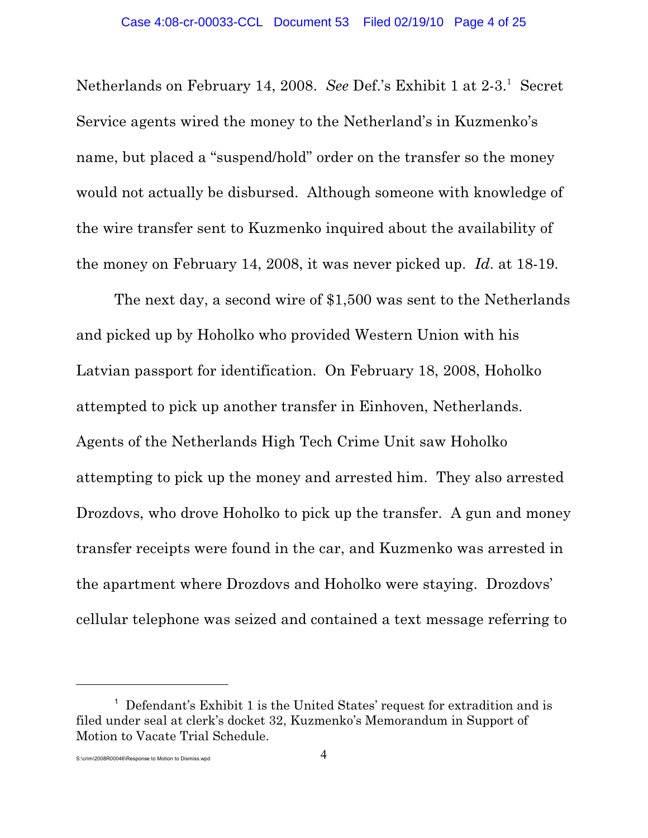Netherlands on February 14, 2008. See Def.'s Exhibit 1 at 2-3.<sup>1</sup> Secret Service agents wired the money to the Netherland's in Kuzmenko's name, but placed a "suspend/hold" order on the transfer so the money would not actually be disbursed. Although someone with knowledge of the wire transfer sent to Kuzmenko inquired about the availability of the money on February 14, 2008, it was never picked up. *Id*. at 18-19.

The next day, a second wire of \$1,500 was sent to the Netherlands and picked up by Hoholko who provided Western Union with his Latvian passport for identification. On February 18, 2008, Hoholko attempted to pick up another transfer in Einhoven, Netherlands. Agents of the Netherlands High Tech Crime Unit saw Hoholko attempting to pick up the money and arrested him. They also arrested Drozdovs, who drove Hoholko to pick up the transfer. A gun and money transfer receipts were found in the car, and Kuzmenko was arrested in the apartment where Drozdovs and Hoholko were staying. Drozdovs' cellular telephone was seized and contained a text message referring to

 $^1$  Defendant's Exhibit 1 is the United States' request for extradition and is filed under seal at clerk's docket 32, Kuzmenko's Memorandum in Support of Motion to Vacate Trial Schedule.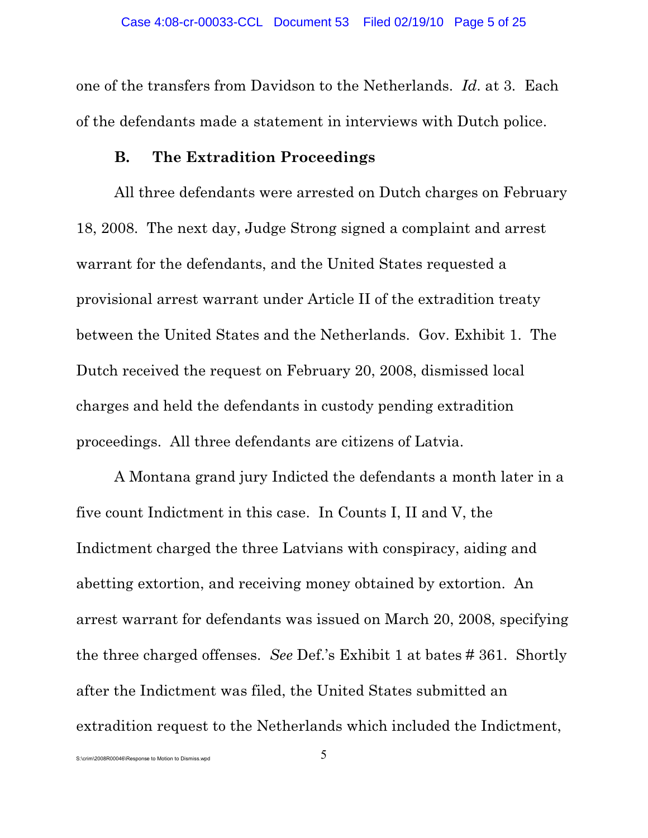one of the transfers from Davidson to the Netherlands. *Id*. at 3. Each of the defendants made a statement in interviews with Dutch police.

### **B. The Extradition Proceedings**

All three defendants were arrested on Dutch charges on February 18, 2008. The next day, Judge Strong signed a complaint and arrest warrant for the defendants, and the United States requested a provisional arrest warrant under Article II of the extradition treaty between the United States and the Netherlands. Gov. Exhibit 1. The Dutch received the request on February 20, 2008, dismissed local charges and held the defendants in custody pending extradition proceedings. All three defendants are citizens of Latvia.

A Montana grand jury Indicted the defendants a month later in a five count Indictment in this case. In Counts I, II and V, the Indictment charged the three Latvians with conspiracy, aiding and abetting extortion, and receiving money obtained by extortion. An arrest warrant for defendants was issued on March 20, 2008, specifying the three charged offenses. *See* Def.'s Exhibit 1 at bates # 361. Shortly after the Indictment was filed, the United States submitted an extradition request to the Netherlands which included the Indictment,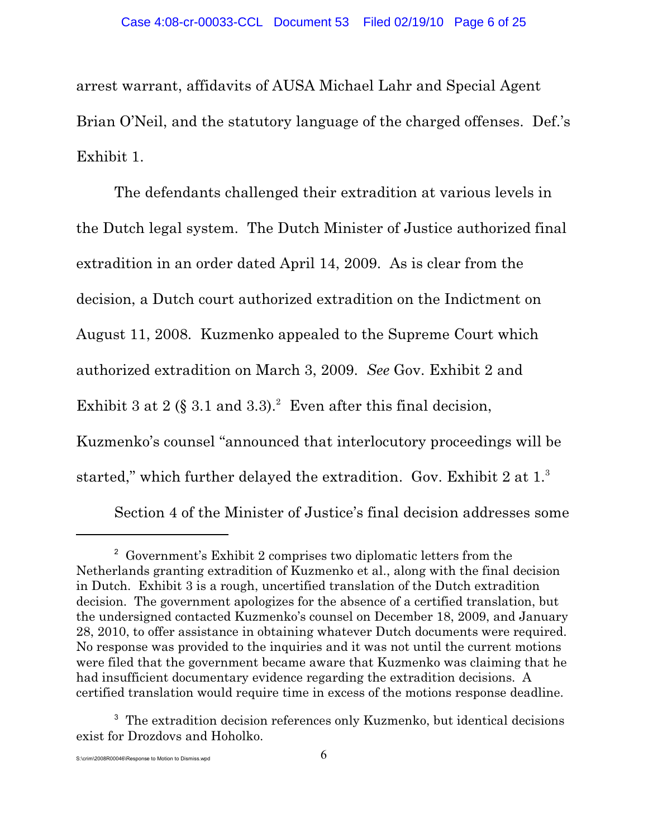arrest warrant, affidavits of AUSA Michael Lahr and Special Agent Brian O'Neil, and the statutory language of the charged offenses. Def.'s Exhibit 1.

The defendants challenged their extradition at various levels in the Dutch legal system. The Dutch Minister of Justice authorized final extradition in an order dated April 14, 2009. As is clear from the decision, a Dutch court authorized extradition on the Indictment on August 11, 2008. Kuzmenko appealed to the Supreme Court which authorized extradition on March 3, 2009. *See* Gov. Exhibit 2 and Exhibit 3 at 2 (§ 3.1 and 3.3).<sup>2</sup> Even after this final decision, Kuzmenko's counsel "announced that interlocutory proceedings will be started," which further delayed the extradition. Gov. Exhibit 2 at 1.<sup>3</sup>

Section 4 of the Minister of Justice's final decision addresses some

 $\frac{1}{2}$  Government's Exhibit 2 comprises two diplomatic letters from the Netherlands granting extradition of Kuzmenko et al., along with the final decision in Dutch. Exhibit 3 is a rough, uncertified translation of the Dutch extradition decision. The government apologizes for the absence of a certified translation, but the undersigned contacted Kuzmenko's counsel on December 18, 2009, and January 28, 2010, to offer assistance in obtaining whatever Dutch documents were required. No response was provided to the inquiries and it was not until the current motions were filed that the government became aware that Kuzmenko was claiming that he had insufficient documentary evidence regarding the extradition decisions. A certified translation would require time in excess of the motions response deadline.

<sup>&</sup>lt;sup>3</sup> The extradition decision references only Kuzmenko, but identical decisions exist for Drozdovs and Hoholko.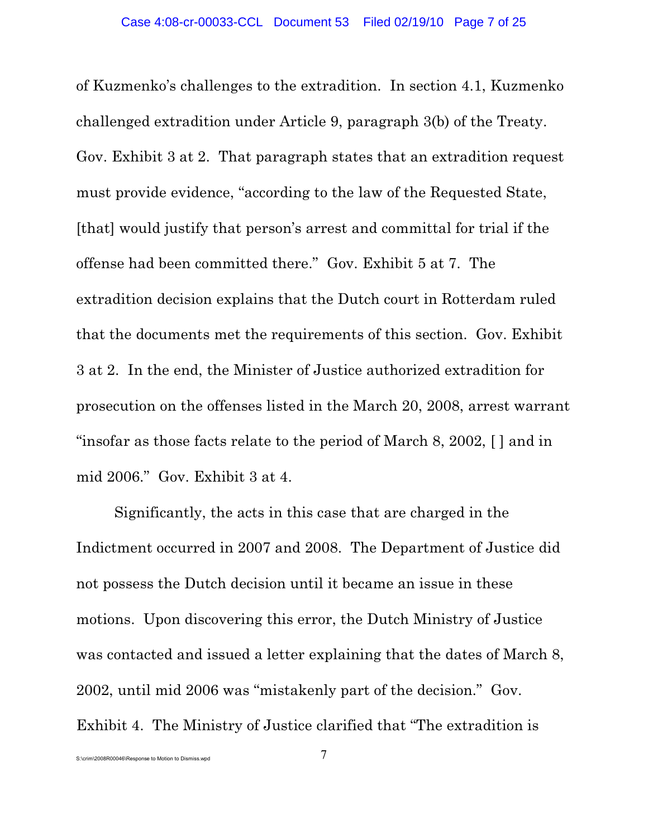of Kuzmenko's challenges to the extradition. In section 4.1, Kuzmenko challenged extradition under Article 9, paragraph 3(b) of the Treaty. Gov. Exhibit 3 at 2. That paragraph states that an extradition request must provide evidence, "according to the law of the Requested State, [that] would justify that person's arrest and committal for trial if the offense had been committed there." Gov. Exhibit 5 at 7. The extradition decision explains that the Dutch court in Rotterdam ruled that the documents met the requirements of this section. Gov. Exhibit 3 at 2. In the end, the Minister of Justice authorized extradition for prosecution on the offenses listed in the March 20, 2008, arrest warrant "insofar as those facts relate to the period of March 8, 2002, [ ] and in mid 2006." Gov. Exhibit 3 at 4.

Significantly, the acts in this case that are charged in the Indictment occurred in 2007 and 2008. The Department of Justice did not possess the Dutch decision until it became an issue in these motions. Upon discovering this error, the Dutch Ministry of Justice was contacted and issued a letter explaining that the dates of March 8, 2002, until mid 2006 was "mistakenly part of the decision." Gov. Exhibit 4. The Ministry of Justice clarified that "The extradition is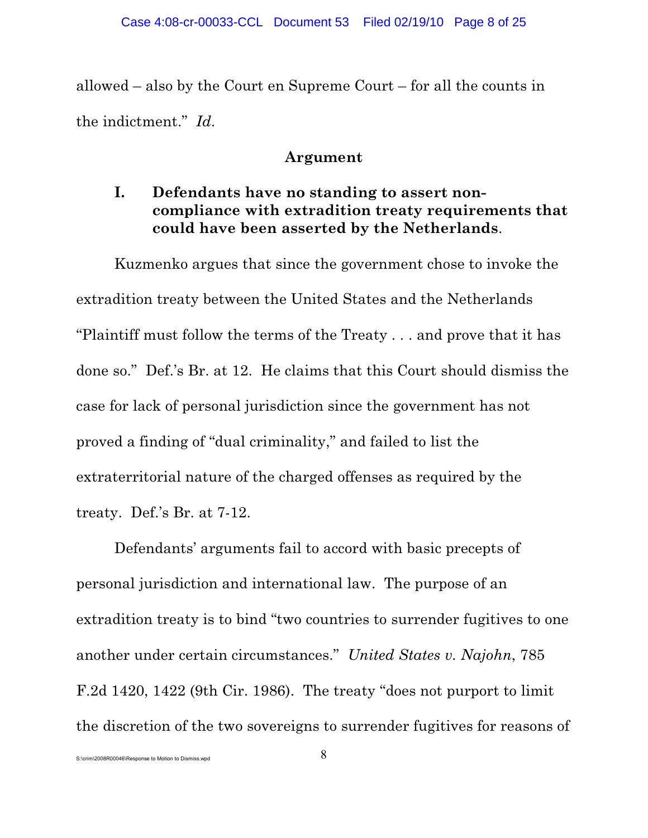allowed – also by the Court en Supreme Court – for all the counts in the indictment." *Id*.

## **Argument**

# **I. Defendants have no standing to assert noncompliance with extradition treaty requirements that could have been asserted by the Netherlands**.

Kuzmenko argues that since the government chose to invoke the extradition treaty between the United States and the Netherlands "Plaintiff must follow the terms of the Treaty . . . and prove that it has done so." Def.'s Br. at 12. He claims that this Court should dismiss the case for lack of personal jurisdiction since the government has not proved a finding of "dual criminality," and failed to list the extraterritorial nature of the charged offenses as required by the treaty. Def.'s Br. at 7-12.

Defendants' arguments fail to accord with basic precepts of personal jurisdiction and international law. The purpose of an extradition treaty is to bind "two countries to surrender fugitives to one another under certain circumstances." *United States v. Najohn*, 785 F.2d 1420, 1422 (9th Cir. 1986). The treaty "does not purport to limit the discretion of the two sovereigns to surrender fugitives for reasons of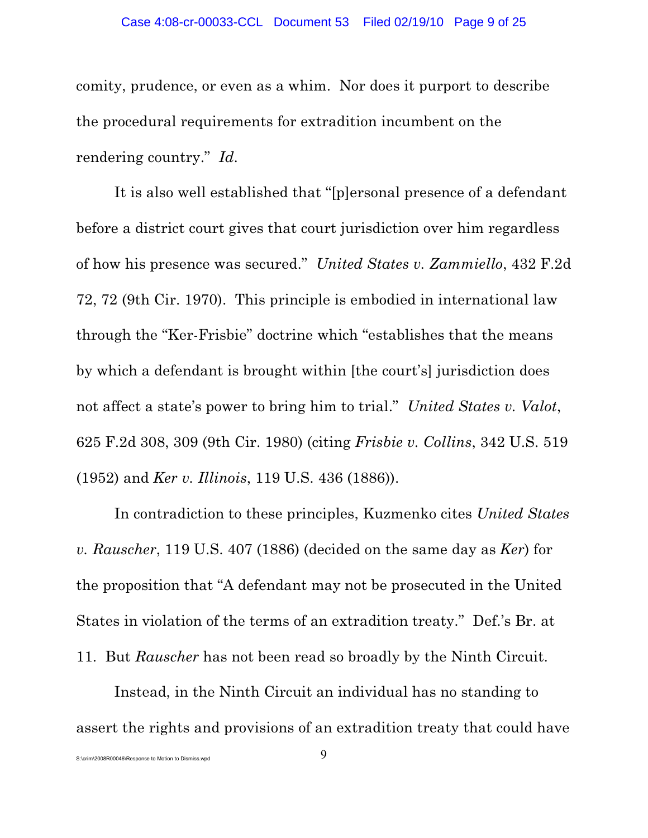comity, prudence, or even as a whim. Nor does it purport to describe the procedural requirements for extradition incumbent on the rendering country." *Id*.

It is also well established that "[p]ersonal presence of a defendant before a district court gives that court jurisdiction over him regardless of how his presence was secured." *United States v. Zammiello*, 432 F.2d 72, 72 (9th Cir. 1970). This principle is embodied in international law through the "Ker-Frisbie" doctrine which "establishes that the means by which a defendant is brought within [the court's] jurisdiction does not affect a state's power to bring him to trial." *United States v. Valot*, 625 F.2d 308, 309 (9th Cir. 1980) (citing *Frisbie v. Collins*, 342 U.S. 519 (1952) and *Ker v. Illinois*, 119 U.S. 436 (1886)).

In contradiction to these principles, Kuzmenko cites *United States v. Rauscher*, 119 U.S. 407 (1886) (decided on the same day as *Ker*) for the proposition that "A defendant may not be prosecuted in the United States in violation of the terms of an extradition treaty." Def.'s Br. at 11. But *Rauscher* has not been read so broadly by the Ninth Circuit.

Instead, in the Ninth Circuit an individual has no standing to assert the rights and provisions of an extradition treaty that could have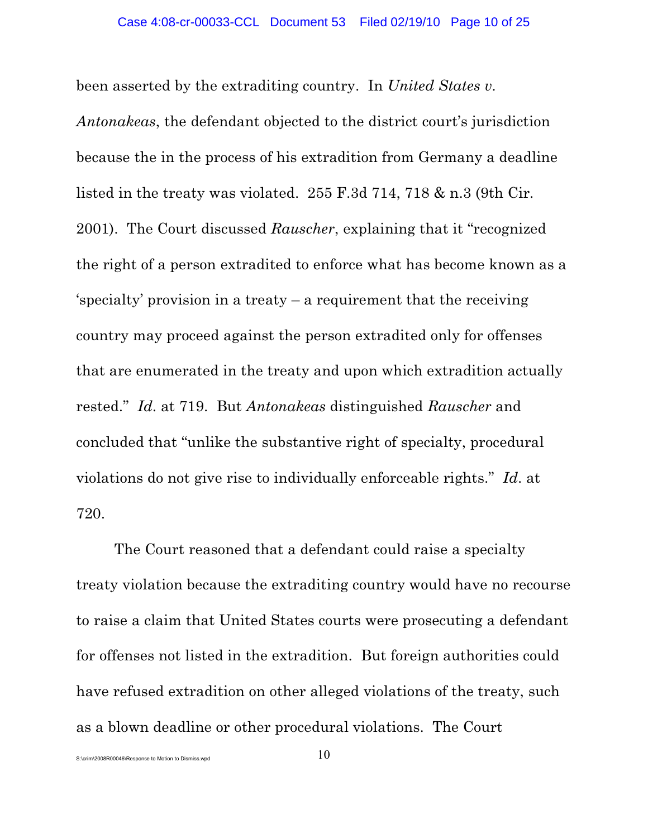been asserted by the extraditing country. In *United States v.*

*Antonakeas*, the defendant objected to the district court's jurisdiction because the in the process of his extradition from Germany a deadline listed in the treaty was violated. 255 F.3d 714, 718 & n.3 (9th Cir. 2001). The Court discussed *Rauscher*, explaining that it "recognized the right of a person extradited to enforce what has become known as a 'specialty' provision in a treaty – a requirement that the receiving country may proceed against the person extradited only for offenses that are enumerated in the treaty and upon which extradition actually rested." *Id*. at 719. But *Antonakeas* distinguished *Rauscher* and concluded that "unlike the substantive right of specialty, procedural violations do not give rise to individually enforceable rights." *Id*. at 720.

The Court reasoned that a defendant could raise a specialty treaty violation because the extraditing country would have no recourse to raise a claim that United States courts were prosecuting a defendant for offenses not listed in the extradition. But foreign authorities could have refused extradition on other alleged violations of the treaty, such as a blown deadline or other procedural violations. The Court

S:\crim\2008R00046\Response to Motion to Dismiss.wpd  $10$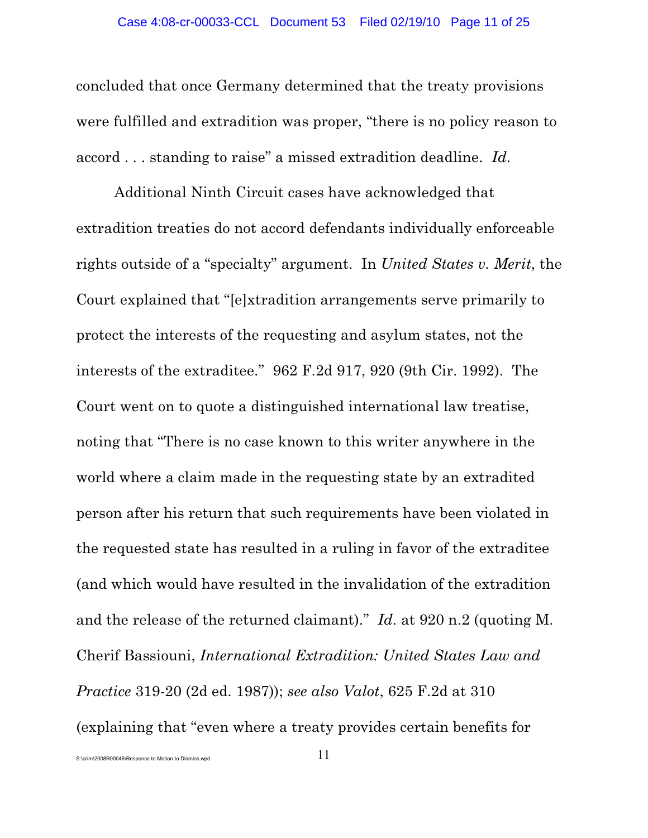concluded that once Germany determined that the treaty provisions were fulfilled and extradition was proper, "there is no policy reason to accord . . . standing to raise" a missed extradition deadline. *Id*.

Additional Ninth Circuit cases have acknowledged that extradition treaties do not accord defendants individually enforceable rights outside of a "specialty" argument. In *United States v. Merit*, the Court explained that "[e]xtradition arrangements serve primarily to protect the interests of the requesting and asylum states, not the interests of the extraditee." 962 F.2d 917, 920 (9th Cir. 1992). The Court went on to quote a distinguished international law treatise, noting that "There is no case known to this writer anywhere in the world where a claim made in the requesting state by an extradited person after his return that such requirements have been violated in the requested state has resulted in a ruling in favor of the extraditee (and which would have resulted in the invalidation of the extradition and the release of the returned claimant)." *Id*. at 920 n.2 (quoting M. Cherif Bassiouni, *International Extradition: United States Law and Practice* 319-20 (2d ed. 1987)); *see also Valot*, 625 F.2d at 310 (explaining that "even where a treaty provides certain benefits for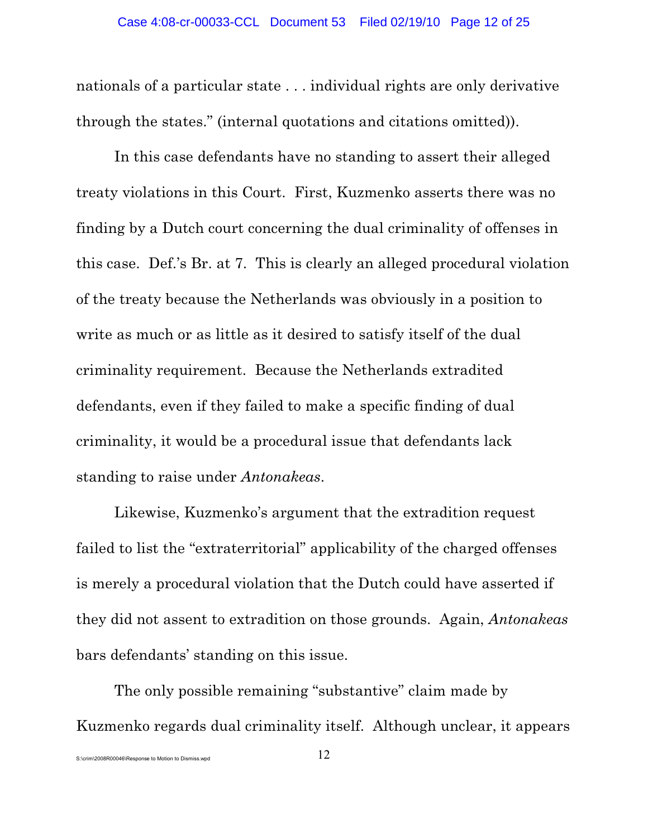nationals of a particular state . . . individual rights are only derivative through the states." (internal quotations and citations omitted)).

In this case defendants have no standing to assert their alleged treaty violations in this Court. First, Kuzmenko asserts there was no finding by a Dutch court concerning the dual criminality of offenses in this case. Def.'s Br. at 7. This is clearly an alleged procedural violation of the treaty because the Netherlands was obviously in a position to write as much or as little as it desired to satisfy itself of the dual criminality requirement. Because the Netherlands extradited defendants, even if they failed to make a specific finding of dual criminality, it would be a procedural issue that defendants lack standing to raise under *Antonakeas*.

Likewise, Kuzmenko's argument that the extradition request failed to list the "extraterritorial" applicability of the charged offenses is merely a procedural violation that the Dutch could have asserted if they did not assent to extradition on those grounds. Again, *Antonakeas* bars defendants' standing on this issue.

The only possible remaining "substantive" claim made by Kuzmenko regards dual criminality itself. Although unclear, it appears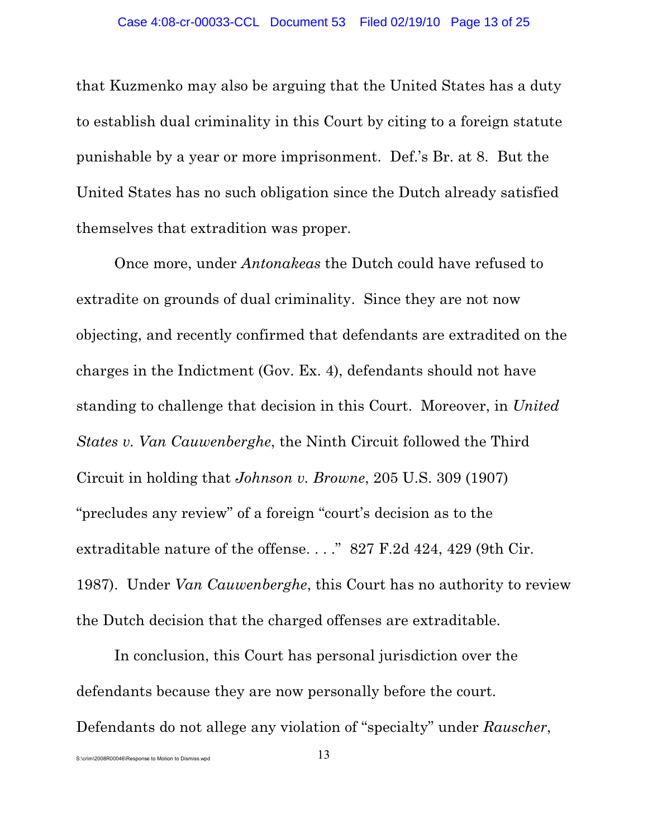that Kuzmenko may also be arguing that the United States has a duty to establish dual criminality in this Court by citing to a foreign statute punishable by a year or more imprisonment. Def.'s Br. at 8. But the United States has no such obligation since the Dutch already satisfied themselves that extradition was proper.

Once more, under *Antonakeas* the Dutch could have refused to extradite on grounds of dual criminality. Since they are not now objecting, and recently confirmed that defendants are extradited on the charges in the Indictment (Gov. Ex. 4), defendants should not have standing to challenge that decision in this Court. Moreover, in *United States v. Van Cauwenberghe*, the Ninth Circuit followed the Third Circuit in holding that *Johnson v. Browne*, 205 U.S. 309 (1907) "precludes any review" of a foreign "court's decision as to the extraditable nature of the offense. . . ." 827 F.2d 424, 429 (9th Cir. 1987). Under *Van Cauwenberghe*, this Court has no authority to review the Dutch decision that the charged offenses are extraditable.

In conclusion, this Court has personal jurisdiction over the defendants because they are now personally before the court. Defendants do not allege any violation of "specialty" under *Rauscher*,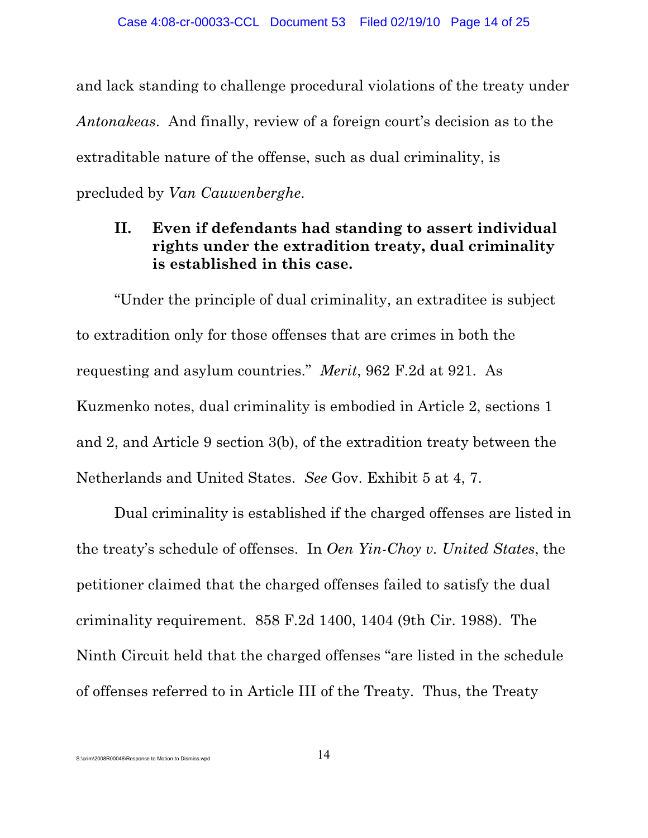and lack standing to challenge procedural violations of the treaty under *Antonakeas*. And finally, review of a foreign court's decision as to the extraditable nature of the offense, such as dual criminality, is precluded by *Van Cauwenberghe*.

# **II. Even if defendants had standing to assert individual rights under the extradition treaty, dual criminality is established in this case.**

"Under the principle of dual criminality, an extraditee is subject to extradition only for those offenses that are crimes in both the requesting and asylum countries." *Merit*, 962 F.2d at 921. As Kuzmenko notes, dual criminality is embodied in Article 2, sections 1 and 2, and Article 9 section 3(b), of the extradition treaty between the Netherlands and United States. *See* Gov. Exhibit 5 at 4, 7.

Dual criminality is established if the charged offenses are listed in the treaty's schedule of offenses. In *Oen Yin-Choy v. United States*, the petitioner claimed that the charged offenses failed to satisfy the dual criminality requirement. 858 F.2d 1400, 1404 (9th Cir. 1988). The Ninth Circuit held that the charged offenses "are listed in the schedule of offenses referred to in Article III of the Treaty. Thus, the Treaty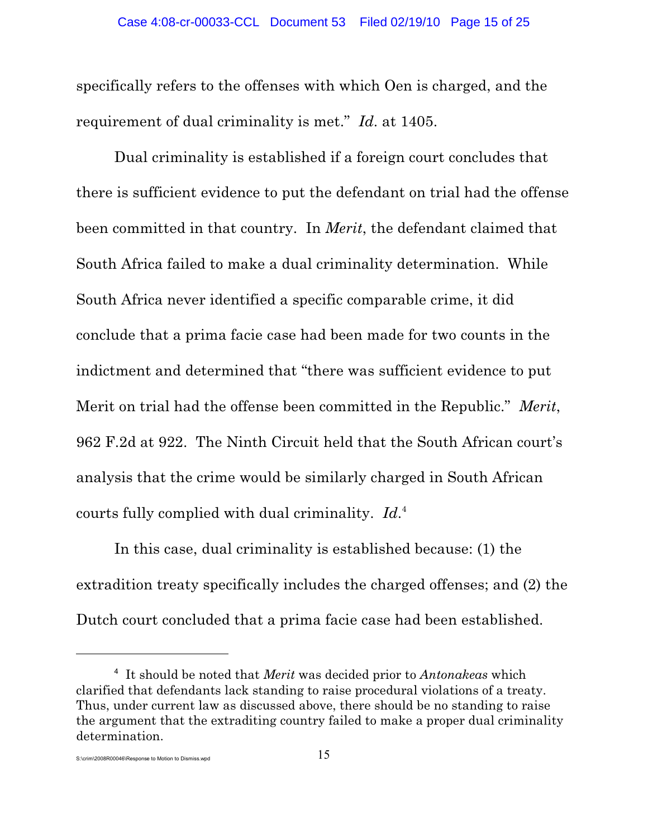specifically refers to the offenses with which Oen is charged, and the requirement of dual criminality is met." *Id*. at 1405.

Dual criminality is established if a foreign court concludes that there is sufficient evidence to put the defendant on trial had the offense been committed in that country. In *Merit*, the defendant claimed that South Africa failed to make a dual criminality determination. While South Africa never identified a specific comparable crime, it did conclude that a prima facie case had been made for two counts in the indictment and determined that "there was sufficient evidence to put Merit on trial had the offense been committed in the Republic." *Merit*, 962 F.2d at 922. The Ninth Circuit held that the South African court's analysis that the crime would be similarly charged in South African courts fully complied with dual criminality. Id.<sup>4</sup>

In this case, dual criminality is established because: (1) the extradition treaty specifically includes the charged offenses; and (2) the Dutch court concluded that a prima facie case had been established.

It should be noted that *Merit* was decided prior to *Antonakeas* which <sup>4</sup> clarified that defendants lack standing to raise procedural violations of a treaty. Thus, under current law as discussed above, there should be no standing to raise the argument that the extraditing country failed to make a proper dual criminality determination.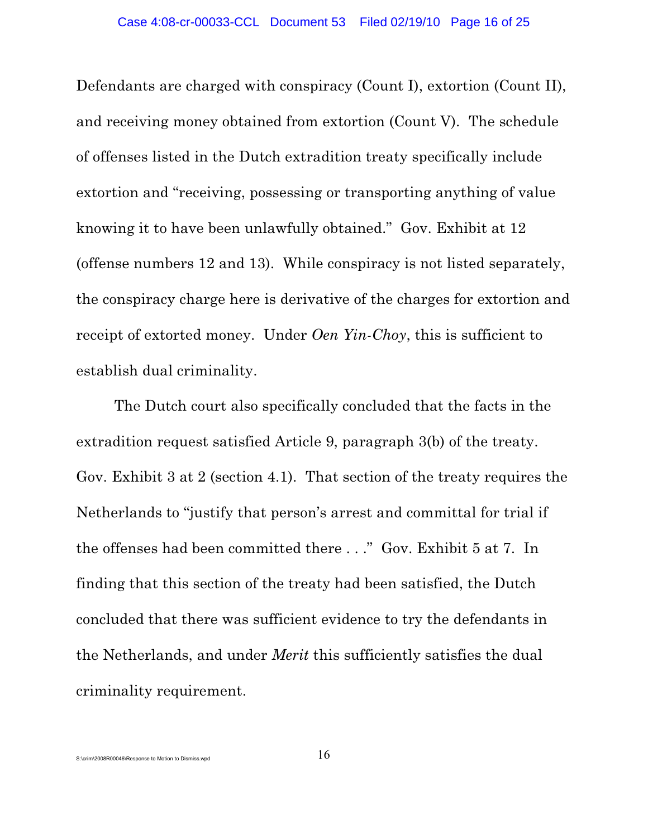Defendants are charged with conspiracy (Count I), extortion (Count II), and receiving money obtained from extortion (Count V). The schedule of offenses listed in the Dutch extradition treaty specifically include extortion and "receiving, possessing or transporting anything of value knowing it to have been unlawfully obtained." Gov. Exhibit at 12 (offense numbers 12 and 13). While conspiracy is not listed separately, the conspiracy charge here is derivative of the charges for extortion and receipt of extorted money. Under *Oen Yin-Choy*, this is sufficient to establish dual criminality.

The Dutch court also specifically concluded that the facts in the extradition request satisfied Article 9, paragraph 3(b) of the treaty. Gov. Exhibit 3 at 2 (section 4.1). That section of the treaty requires the Netherlands to "justify that person's arrest and committal for trial if the offenses had been committed there . . ." Gov. Exhibit 5 at 7. In finding that this section of the treaty had been satisfied, the Dutch concluded that there was sufficient evidence to try the defendants in the Netherlands, and under *Merit* this sufficiently satisfies the dual criminality requirement.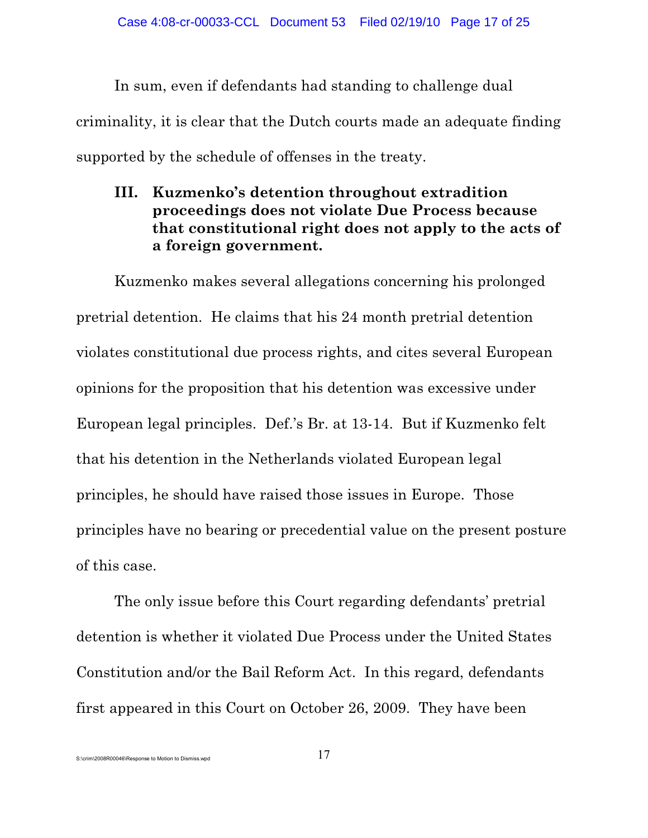In sum, even if defendants had standing to challenge dual criminality, it is clear that the Dutch courts made an adequate finding supported by the schedule of offenses in the treaty.

# **III. Kuzmenko's detention throughout extradition proceedings does not violate Due Process because that constitutional right does not apply to the acts of a foreign government.**

Kuzmenko makes several allegations concerning his prolonged pretrial detention. He claims that his 24 month pretrial detention violates constitutional due process rights, and cites several European opinions for the proposition that his detention was excessive under European legal principles. Def.'s Br. at 13-14. But if Kuzmenko felt that his detention in the Netherlands violated European legal principles, he should have raised those issues in Europe. Those principles have no bearing or precedential value on the present posture of this case.

The only issue before this Court regarding defendants' pretrial detention is whether it violated Due Process under the United States Constitution and/or the Bail Reform Act. In this regard, defendants first appeared in this Court on October 26, 2009. They have been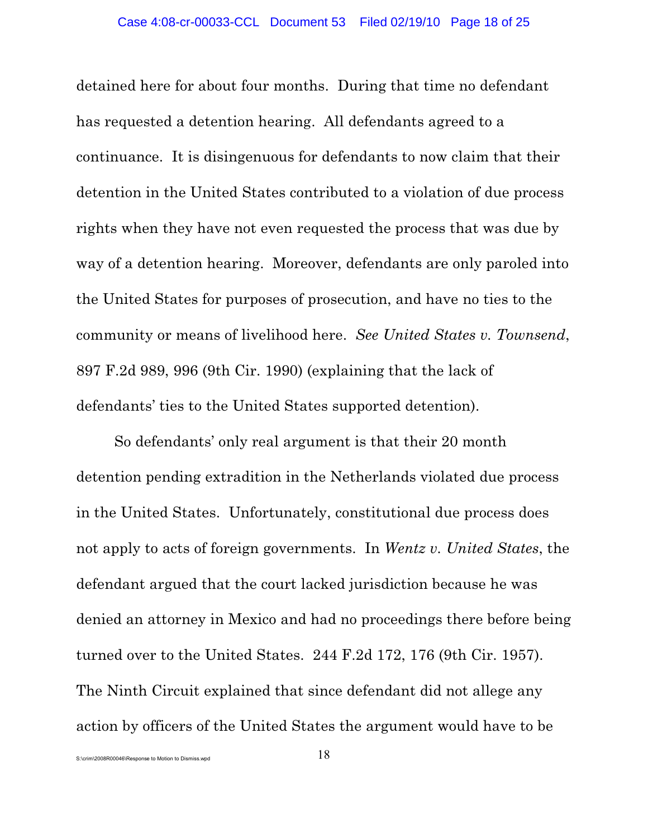detained here for about four months. During that time no defendant has requested a detention hearing. All defendants agreed to a continuance. It is disingenuous for defendants to now claim that their detention in the United States contributed to a violation of due process rights when they have not even requested the process that was due by way of a detention hearing. Moreover, defendants are only paroled into the United States for purposes of prosecution, and have no ties to the community or means of livelihood here. *See United States v. Townsend*, 897 F.2d 989, 996 (9th Cir. 1990) (explaining that the lack of defendants' ties to the United States supported detention).

So defendants' only real argument is that their 20 month detention pending extradition in the Netherlands violated due process in the United States. Unfortunately, constitutional due process does not apply to acts of foreign governments. In *Wentz v. United States*, the defendant argued that the court lacked jurisdiction because he was denied an attorney in Mexico and had no proceedings there before being turned over to the United States. 244 F.2d 172, 176 (9th Cir. 1957). The Ninth Circuit explained that since defendant did not allege any action by officers of the United States the argument would have to be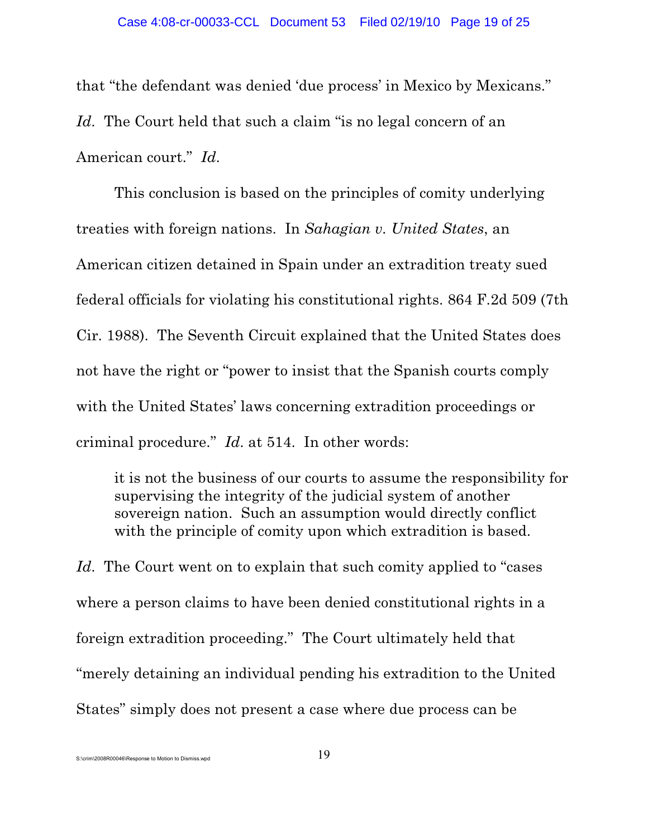that "the defendant was denied 'due process' in Mexico by Mexicans." Id. The Court held that such a claim "is no legal concern of an American court." *Id*.

This conclusion is based on the principles of comity underlying treaties with foreign nations. In *Sahagian v. United States*, an American citizen detained in Spain under an extradition treaty sued federal officials for violating his constitutional rights. 864 F.2d 509 (7th Cir. 1988). The Seventh Circuit explained that the United States does not have the right or "power to insist that the Spanish courts comply with the United States' laws concerning extradition proceedings or criminal procedure." *Id*. at 514. In other words:

it is not the business of our courts to assume the responsibility for supervising the integrity of the judicial system of another sovereign nation. Such an assumption would directly conflict with the principle of comity upon which extradition is based.

Id. The Court went on to explain that such comity applied to "cases" where a person claims to have been denied constitutional rights in a foreign extradition proceeding." The Court ultimately held that "merely detaining an individual pending his extradition to the United States" simply does not present a case where due process can be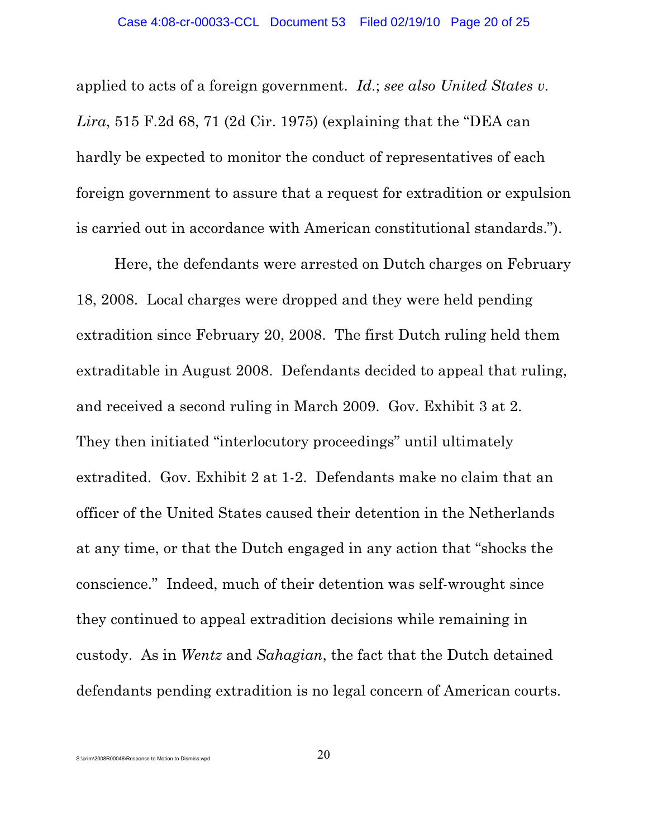applied to acts of a foreign government. *Id*.; *see also United States v. Lira*, 515 F.2d 68, 71 (2d Cir. 1975) (explaining that the "DEA can hardly be expected to monitor the conduct of representatives of each foreign government to assure that a request for extradition or expulsion is carried out in accordance with American constitutional standards.").

Here, the defendants were arrested on Dutch charges on February 18, 2008. Local charges were dropped and they were held pending extradition since February 20, 2008. The first Dutch ruling held them extraditable in August 2008. Defendants decided to appeal that ruling, and received a second ruling in March 2009. Gov. Exhibit 3 at 2. They then initiated "interlocutory proceedings" until ultimately extradited. Gov. Exhibit 2 at 1-2. Defendants make no claim that an officer of the United States caused their detention in the Netherlands at any time, or that the Dutch engaged in any action that "shocks the conscience." Indeed, much of their detention was self-wrought since they continued to appeal extradition decisions while remaining in custody. As in *Wentz* and *Sahagian*, the fact that the Dutch detained defendants pending extradition is no legal concern of American courts.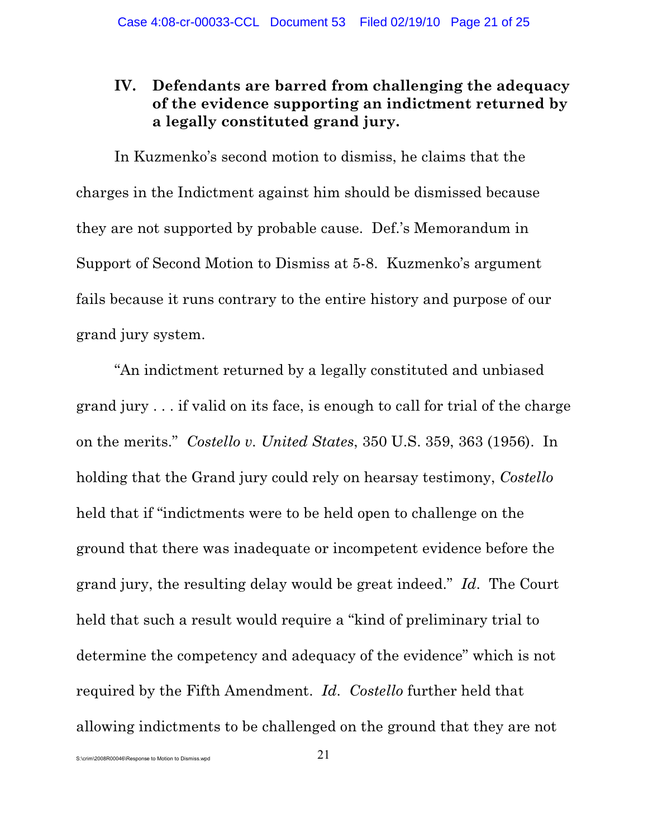# **IV. Defendants are barred from challenging the adequacy of the evidence supporting an indictment returned by a legally constituted grand jury.**

In Kuzmenko's second motion to dismiss, he claims that the charges in the Indictment against him should be dismissed because they are not supported by probable cause. Def.'s Memorandum in Support of Second Motion to Dismiss at 5-8. Kuzmenko's argument fails because it runs contrary to the entire history and purpose of our grand jury system.

"An indictment returned by a legally constituted and unbiased grand jury . . . if valid on its face, is enough to call for trial of the charge on the merits." *Costello v. United States*, 350 U.S. 359, 363 (1956). In holding that the Grand jury could rely on hearsay testimony, *Costello* held that if "indictments were to be held open to challenge on the ground that there was inadequate or incompetent evidence before the grand jury, the resulting delay would be great indeed." *Id*. The Court held that such a result would require a "kind of preliminary trial to determine the competency and adequacy of the evidence" which is not required by the Fifth Amendment. *Id*. *Costello* further held that allowing indictments to be challenged on the ground that they are not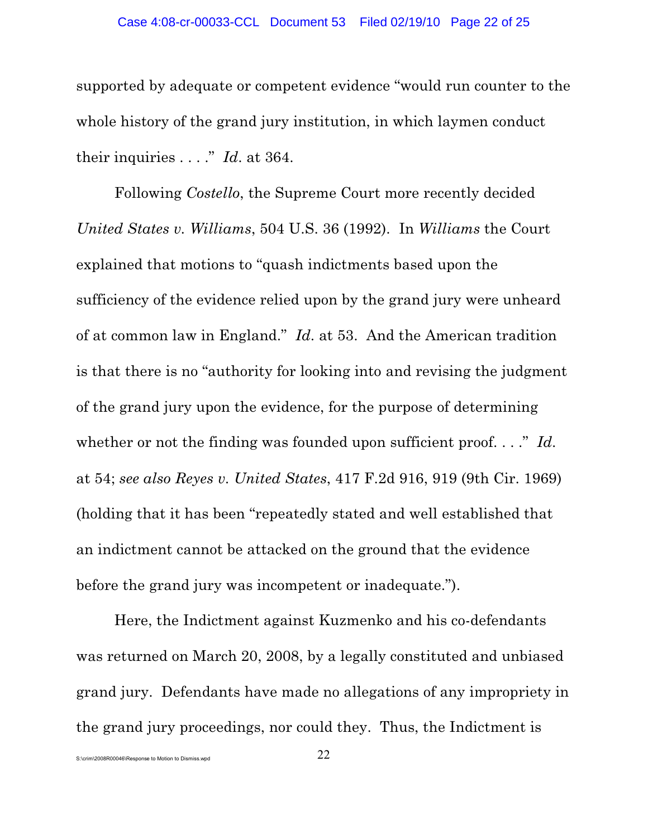supported by adequate or competent evidence "would run counter to the whole history of the grand jury institution, in which laymen conduct their inquiries . . . ." *Id*. at 364.

Following *Costello*, the Supreme Court more recently decided *United States v. Williams*, 504 U.S. 36 (1992). In *Williams* the Court explained that motions to "quash indictments based upon the sufficiency of the evidence relied upon by the grand jury were unheard of at common law in England." *Id*. at 53. And the American tradition is that there is no "authority for looking into and revising the judgment of the grand jury upon the evidence, for the purpose of determining whether or not the finding was founded upon sufficient proof...." *Id.* at 54; *see also Reyes v. United States*, 417 F.2d 916, 919 (9th Cir. 1969) (holding that it has been "repeatedly stated and well established that an indictment cannot be attacked on the ground that the evidence before the grand jury was incompetent or inadequate.").

Here, the Indictment against Kuzmenko and his co-defendants was returned on March 20, 2008, by a legally constituted and unbiased grand jury. Defendants have made no allegations of any impropriety in the grand jury proceedings, nor could they. Thus, the Indictment is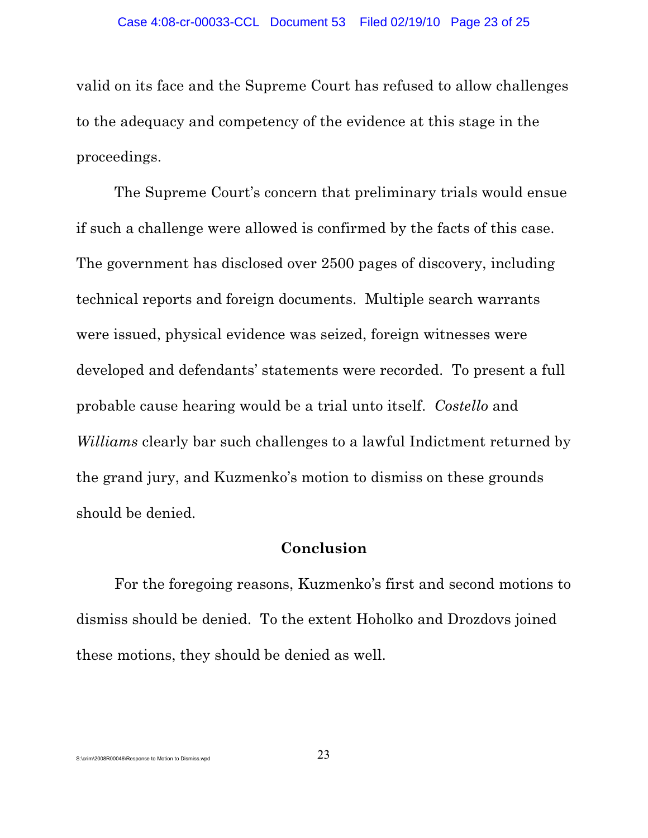valid on its face and the Supreme Court has refused to allow challenges to the adequacy and competency of the evidence at this stage in the proceedings.

The Supreme Court's concern that preliminary trials would ensue if such a challenge were allowed is confirmed by the facts of this case. The government has disclosed over 2500 pages of discovery, including technical reports and foreign documents. Multiple search warrants were issued, physical evidence was seized, foreign witnesses were developed and defendants' statements were recorded. To present a full probable cause hearing would be a trial unto itself. *Costello* and *Williams* clearly bar such challenges to a lawful Indictment returned by the grand jury, and Kuzmenko's motion to dismiss on these grounds should be denied.

# **Conclusion**

For the foregoing reasons, Kuzmenko's first and second motions to dismiss should be denied. To the extent Hoholko and Drozdovs joined these motions, they should be denied as well.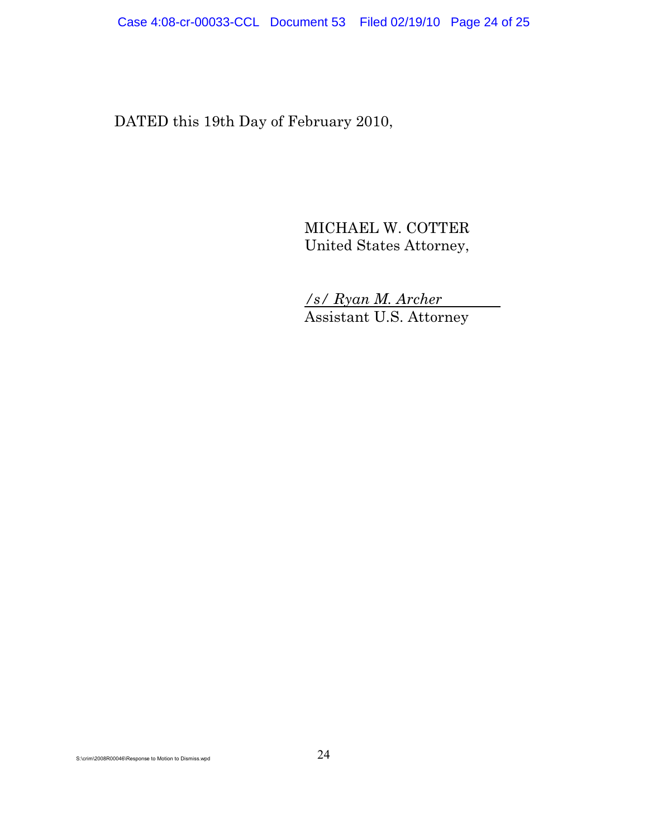DATED this 19th Day of February 2010,

MICHAEL W. COTTER United States Attorney,

*/s/ Ryan M. Archer*  Assistant U.S. Attorney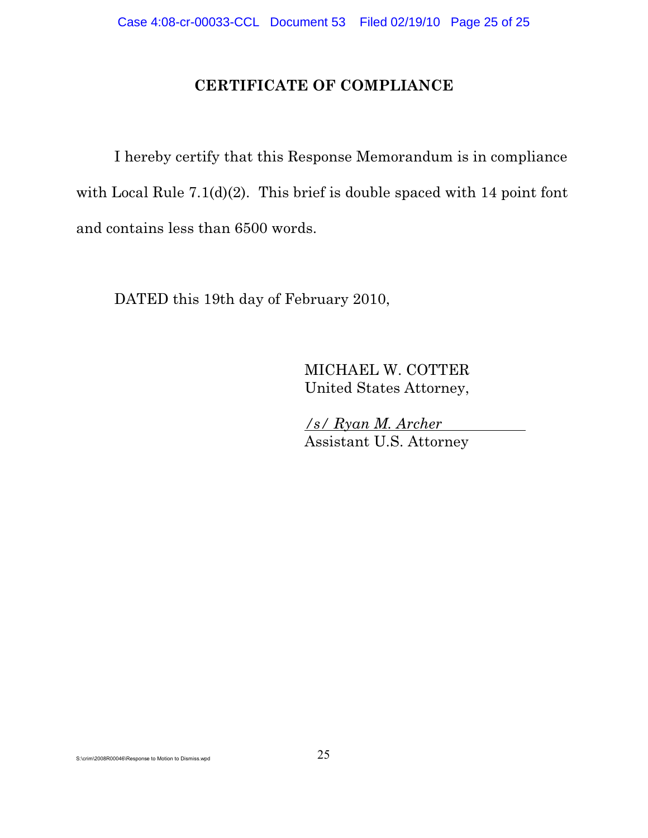# **CERTIFICATE OF COMPLIANCE**

I hereby certify that this Response Memorandum is in compliance with Local Rule 7.1(d)(2). This brief is double spaced with 14 point font and contains less than 6500 words.

DATED this 19th day of February 2010,

MICHAEL W. COTTER United States Attorney,

*/s/ Ryan M. Archer*  Assistant U.S. Attorney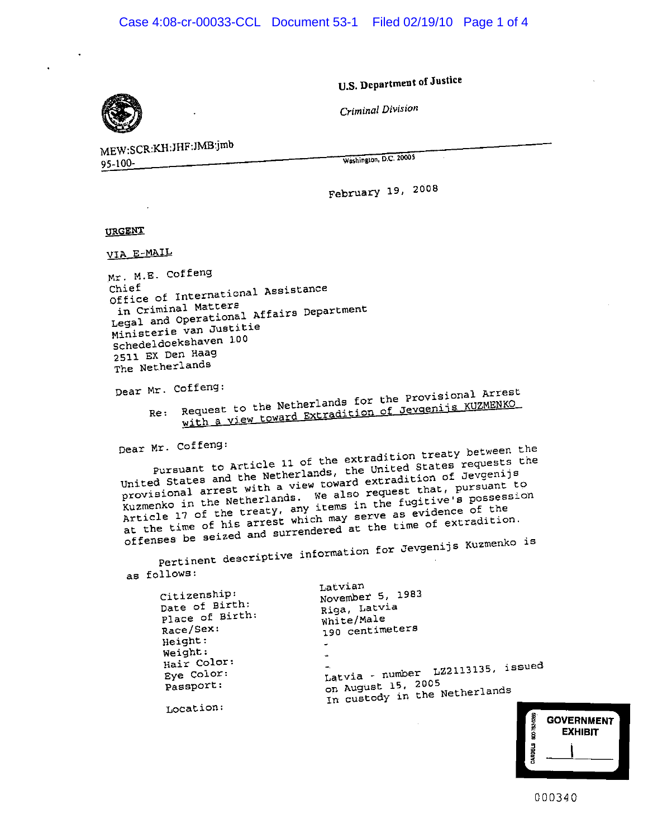U.S. Department of Justice

Criminal Division

MEW:SCR:KH:JHF:JMB:jmb 95-100

Washington, D.C. 20005

February 19, 2008

**URGENT** 

VIA E-MAIL

Mr. M.E. Coffeng Office of International Assistance in Criminal Matters Legal and Operational Affairs Department Ministerie van Justitie Schedeldoekshaven 100 2511 EX Den Haag The Netherlands

Dear Mr. Coffeng:

Re: Request to the Netherlands for the Provisional Arrest with a view toward Extradition of Jevgenijs KUZMENKO

Dear Mr. Coffeng:

Pursuant to Article 11 of the extradition treaty between the United States and the Netherlands, the United States requests the provisional arrest with a view toward extradition of Jevgenijs Kuzmenko in the Netherlands. We also request that, pursuant to Article 17 of the treaty, any items in the fugitive's possession at the time of his arrest which may serve as evidence of the offenses be seized and surrendered at the time of extradition. Pertinent descriptive information for Jevgenijs Kuzmenko is

as follows:

 $\mathsf{C}$ 

| Citizenship:<br>Date of Birth:<br>Place of Birth:<br>Race/Sex:<br>Height: | Latvian<br>November 5, 1983<br>Riga, Latvia<br>White/Male<br>190 centimeters<br>$\rightarrow$  |
|---------------------------------------------------------------------------|------------------------------------------------------------------------------------------------|
| Weight:<br>Hair Color:<br>Eye Color:<br>Passport:                         | z.<br>Latvia - number LZ2113135, issued<br>on August 15, 2005<br>In custody in the Netherlands |
| Location:                                                                 |                                                                                                |

| BUC-783-0266   | <b>GOVERNMENT</b><br><b>EXHIBIT</b> |
|----------------|-------------------------------------|
| <b>JARDELS</b> |                                     |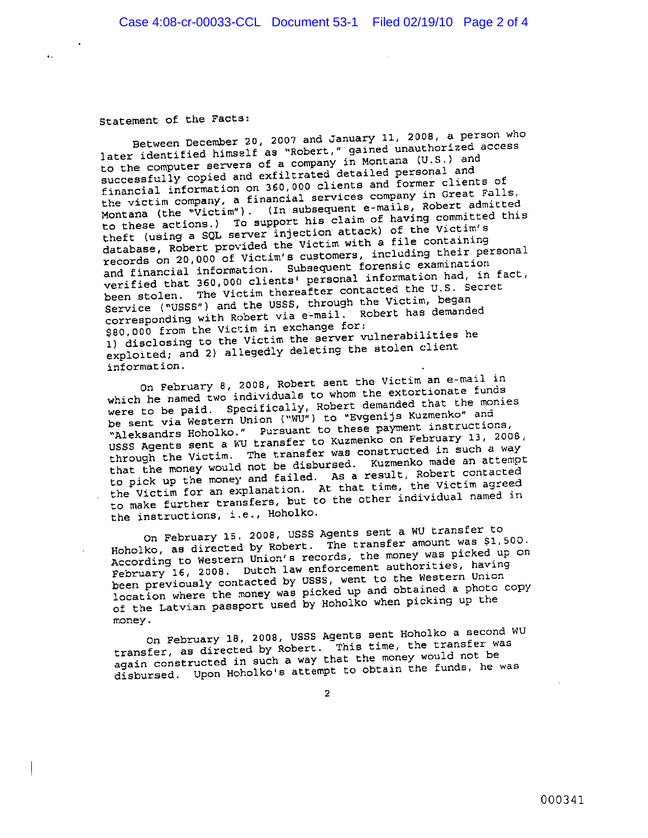Statement of the Facts:

Between December 20, 2007 and January 11, 2008, a person who later identified himself as "Robert," gained unauthorized access to the computer servers of a company in Montana (U.S.) and successfully copied and exfiltrated detailed personal and financial information on 360,000 clients and former clients of the victim company, a financial services company in Great Falls,<br>Montana (the "Victim"). (In subsequent e-mails, Robert admitted to these actions.) To support his claim of having committed this theft (using a SQL server injection attack) of the Victim's database, Robert provided the Victim with a file containing records on 20,000 of Victim's customers, including their personal and financial information. Subsequent forensic examination verified that 360,000 clients' personal information had, in fact, been stolen. The Victim thereafter contacted the U.S. Secret Service ("USSS") and the USSS, through the Victim, began corresponding with Robert via e-mail. Robert has demanded \$80,000 from the Victim in exchange for: 1) disclosing to the Victim the server vulnerabilities he exploited; and 2) allegedly deleting the stolen client information.

On February 8, 2008, Robert sent the Victim an e-mail in which he named two individuals to whom the extortionate funds were to be paid. Specifically, Robert demanded that the monies<br>be sent via Western Union ("WU") to "Evgenijs Kuzmenko" and "Aleksandrs Hoholko." Pursuant to these payment instructions, USSS Agents sent a WU transfer to Kuzmenko on February 13, 2008, through the Victim. The transfer was constructed in such a way that the money would not be disbursed. Kuzmenko made an attempt to pick up the money and failed. As a result, Robert contacted the Victim for an explanation. At that time, the Victim agreed to make further transfers, but to the other individual named in the instructions, i.e., Hoholko.

On February 15, 2008, USSS Agents sent a WU transfer to Hoholko, as directed by Robert. The transfer amount was \$1,500. According to Western Union's records, the money was picked up on February 16, 2008. Dutch law enforcement authorities, having been previously contacted by USSS, went to the Western Union location where the money was picked up and obtained a photo copy of the Latvian passport used by Hoholko when picking up the money.

On February 18, 2008, USSS Agents sent Hoholko a second WU transfer, as directed by Robert. This time, the transfer was again constructed in such a way that the money would not be disbursed. Upon Hoholko's attempt to obtain the funds, he was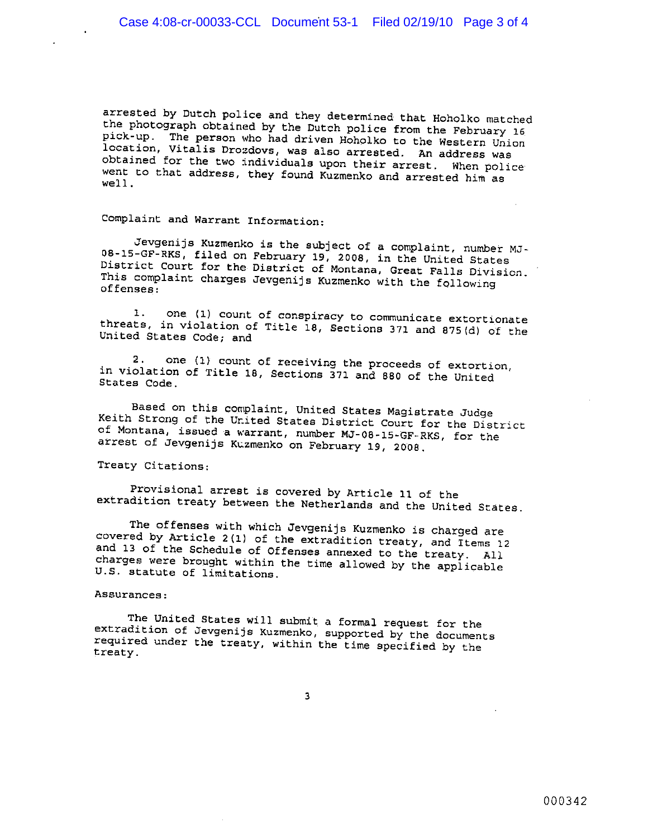arrested by Dutch police and they determined that Hoholko matched the photograph obtained by the Dutch police from the February 16 pick-up. The person who had driven Hoholko to the Western Union location, Vitalis Drozdovs, was also arrested. An address was obtained for the two individuals upon their arrest. When police went to that address, they found Kuzmenko and arrested him as  $well.$ 

Complaint and Warrant Information:

Jevgenijs Kuzmenko is the subject of a complaint, number MJ-08-15-GF-RKS, filed on February 19, 2008, in the United States District Court for the District of Montana, Great Falls Division. This complaint charges Jevgenijs Kuzmenko with the following offenses:

one (1) count of conspiracy to communicate extortionate  $1.$ threats, in violation of Title 18, Sections 371 and 875(d) of the United States Code; and

one (1) count of receiving the proceeds of extortion,  $2.$ in violation of Title 18, Sections 371 and 880 of the United States Code.

Based on this complaint, United States Magistrate Judge Keith Strong of the United States District Court for the District of Montana, issued a warrant, number MJ-08-15-GF-RKS, for the arrest of Jevgenijs Kuzmenko on February 19, 2008.

Treaty Citations:

Provisional arrest is covered by Article 11 of the extradition treaty between the Netherlands and the United States.

The offenses with which Jevgenijs Kuzmenko is charged are covered by Article 2(1) of the extradition treaty, and Items 12 and 13 of the Schedule of Offenses annexed to the treaty. All charges were brought within the time allowed by the applicable U.S. statute of limitations.

#### Assurances:

The United States will submit a formal request for the extradition of Jevgenijs Kuzmenko, supported by the documents required under the treaty, within the time specified by the treaty.

 $\overline{3}$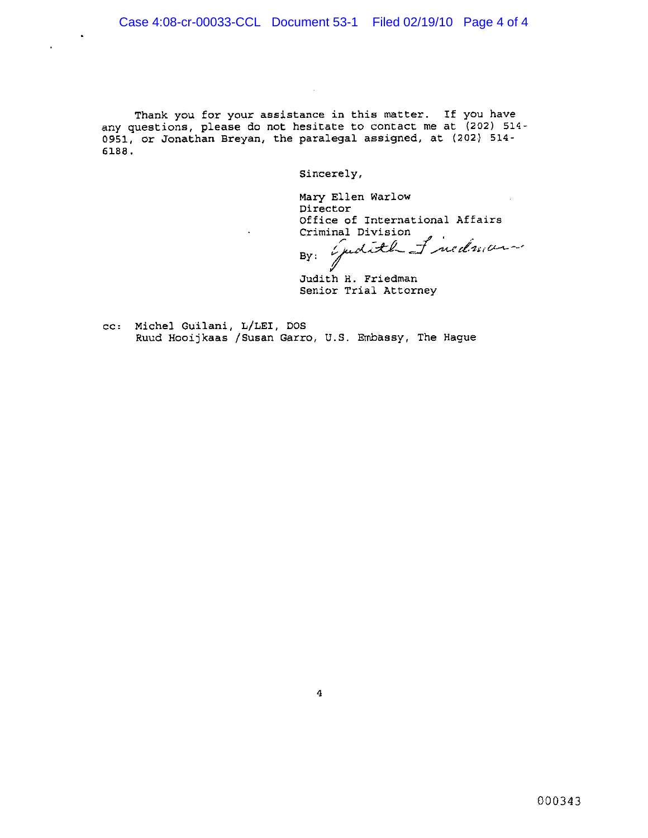$\mathbf{r}$ 

 $\ddot{\phantom{a}}$ 

Thank you for your assistance in this matter. If you have any questions, please do not hesitate to contact me at (202) 514-0951, or Jonathan Breyan, the paralegal assigned, at (202) 514-6188.

Sincerely,

Mary Ellen Warlow Director Office of International Affairs Criminal Division

quality of nedman  $By:$  $\bigvee$ 

Judith H. Friedman Senior Trial Attorney

cc: Michel Guilani, L/LEI, DOS Ruud Hooijkaas /Susan Garro, U.S. Embassy, The Hague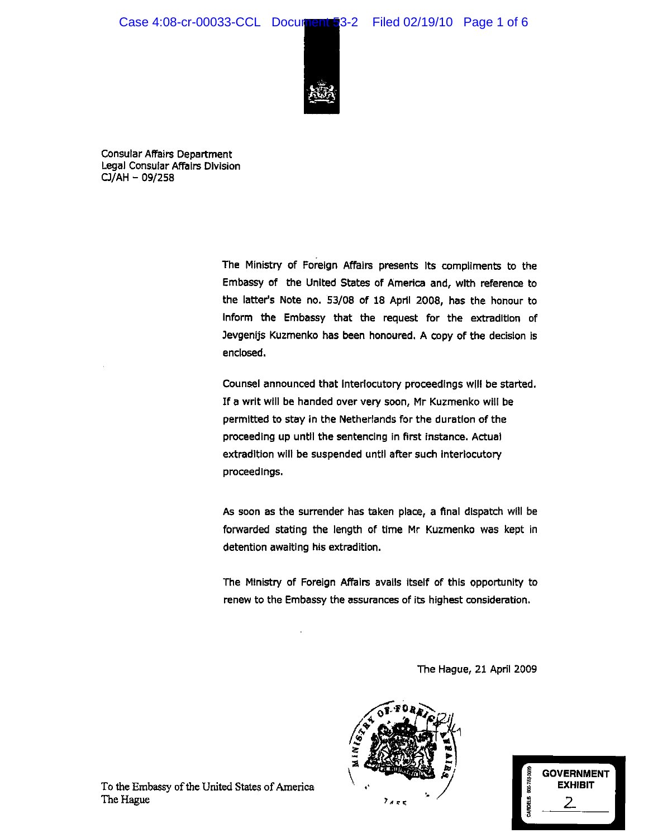### Case 4:08-cr-00033-CCL Document 3-2 Filed 02/19/10 Page 1 of 6



**Consular Affairs Department** Legal Consular Affairs Division CJ/AH - 09/258

> The Ministry of Foreign Affairs presents its compliments to the Embassy of the United States of America and, with reference to the latter's Note no. 53/08 of 18 April 2008, has the honour to inform the Embassy that the request for the extradition of Jevgenijs Kuzmenko has been honoured. A copy of the decision is enclosed.

> Counsel announced that interlocutory proceedings will be started. If a writ will be handed over very soon, Mr Kuzmenko will be permitted to stay in the Netherlands for the duration of the proceeding up until the sentencing in first instance. Actual extradition will be suspended until after such interiocutory proceedings.

> As soon as the surrender has taken place, a final dispatch will be forwarded stating the length of time Mr Kuzmenko was kept in detention awaiting his extradition.

> The Ministry of Foreign Affairs avails itself of this opportunity to renew to the Embassy the assurances of its highest consideration.

> > The Hague, 21 April 2009





To the Embassy of the United States of America The Hague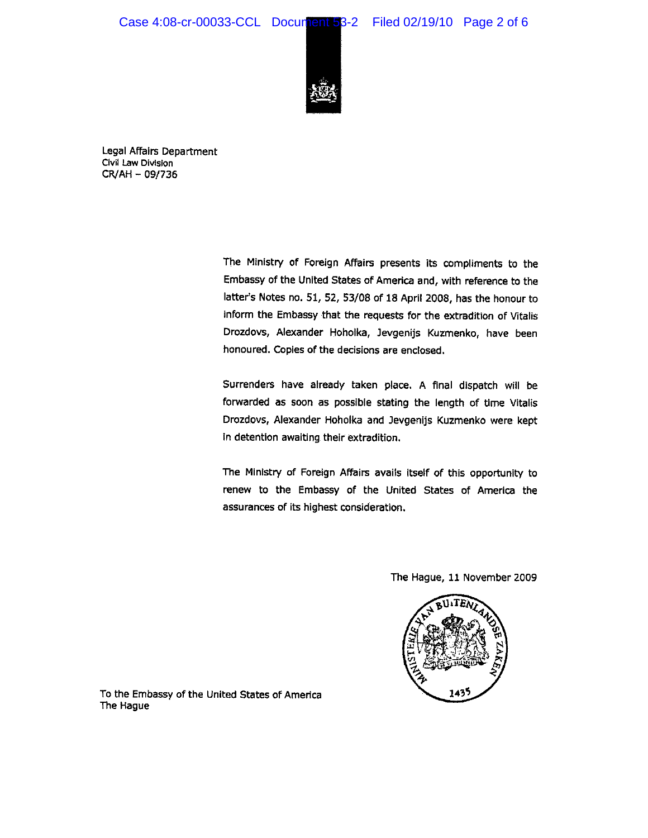### Case 4:08-cr-00033-CCL Document 53-2 Filed 02/19/10 Page 2 of 6





Legal Affairs Department Civil Law Division CR/AH - 09/736

> The Ministry of Foreign Affairs presents its compliments to the Embassy of the United States of America and, with reference to the latter's Notes no. 51, 52, 53/08 of 18 April 2008, has the honour to inform the Embassy that the requests for the extradition of Vitalis Drozdovs, Alexander Hoholka, Jevgenijs Kuzmenko, have been honoured. Copies of the decisions are enclosed.

> Surrenders have already taken place. A final dispatch will be forwarded as soon as possible stating the length of time Vitalis Drozdovs, Alexander Hoholka and Jevgenijs Kuzmenko were kept In detention awaiting their extradition.

> The Ministry of Foreign Affairs avails itself of this opportunity to renew to the Embassy of the United States of America the assurances of its highest consideration,

> > The Hague, 11 November 2009



To the Embassy of the United States of America The Hague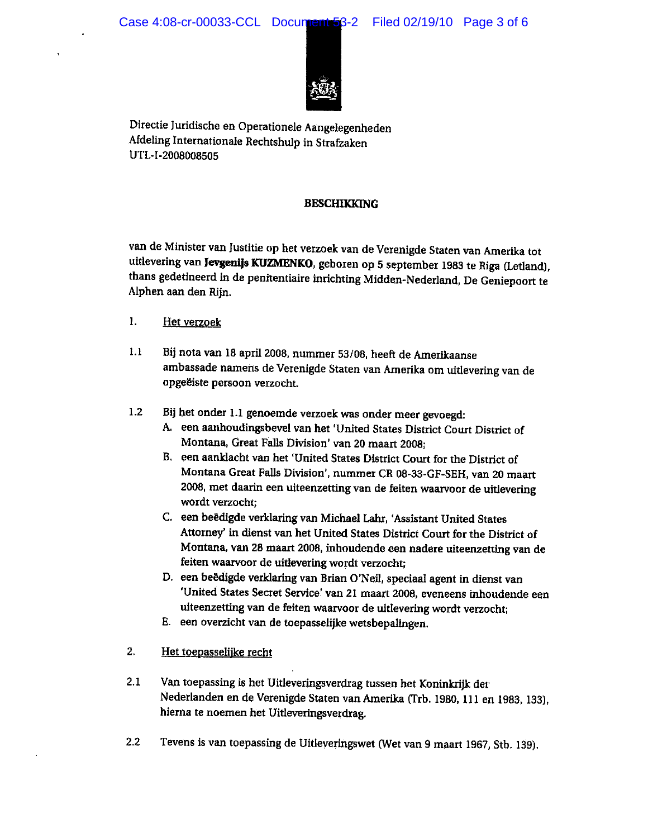

Directie Juridische en Operationele Aangelegenheden Afdeling Internationale Rechtshulp in Strafzaken UTL-I-2008008505

### **BESCHIKKING**

van de Minister van Justitie op het verzoek van de Verenigde Staten van Amerika tot uitlevering van Jevgenijs KUZMENKO, geboren op 5 september 1983 te Riga (Letland), thans gedetineerd in de penitentiaire inrichting Midden-Nederland, De Geniepoort te Alphen aan den Rijn.

- 1. Het verzoek
- Bij nota van 18 april 2008, nummer 53/08, heeft de Amerikaanse  $1.1$ ambassade namens de Verenigde Staten van Amerika om uitlevering van de opgeëiste persoon verzocht.
- $1.2$ Bij het onder 1.1 genoemde verzoek was onder meer gevoegd:
	- A. een aanhoudingsbevel van het 'United States District Court District of Montana, Great Falls Division' van 20 maart 2008;
	- B. een aanklacht van het 'United States District Court for the District of Montana Great Falls Division', nummer CR 08-33-GF-SEH, van 20 maart 2008, met daarin een uiteenzetting van de feiten waarvoor de uitlevering wordt verzocht:
	- C. een beëdigde verklaring van Michael Lahr, 'Assistant United States Attorney' in dienst van het United States District Court for the District of Montana, van 28 maart 2008, inhoudende een nadere uiteenzetting van de feiten waarvoor de uitlevering wordt verzocht;
	- D. een beëdigde verklaring van Brian O'Neil, speciaal agent in dienst van 'United States Secret Service' van 21 maart 2008, eveneens inhoudende een uiteenzetting van de feiten waarvoor de uitlevering wordt verzocht:
	- E. een overzicht van de toepasselijke wetsbepalingen.
- $2.$ Het toepasselijke recht
- $2.1$ Van toepassing is het Uitleveringsverdrag tussen het Koninkrijk der Nederlanden en de Verenigde Staten van Amerika (Trb. 1980, 111 en 1983, 133), hierna te noemen het Uitleveringsverdrag.
- $2.2^{\circ}$ Tevens is van toepassing de Uitleveringswet (Wet van 9 maart 1967, Stb. 139).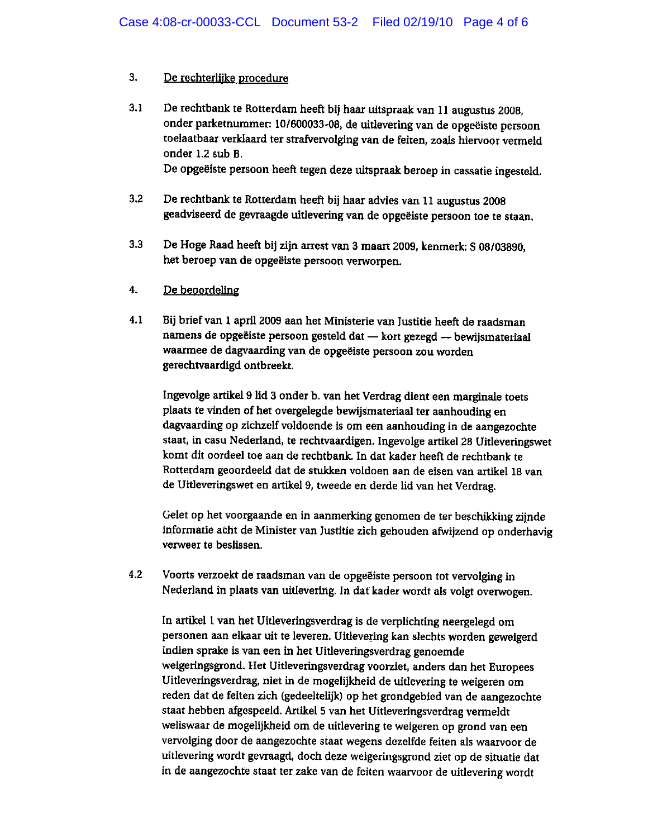#### $3<sub>1</sub>$ De rechterlijke procedure

 $3.1$ De rechtbank te Rotterdam heeft bij haar uitspraak van 11 augustus 2008, onder parketnummer: 10/600033-08, de uitlevering van de opgeëiste persoon toelaatbaar verklaard ter strafvervolging van de feiten, zoals hiervoor vermeld onder 1.2 sub B.

De opgeëiste persoon heeft tegen deze uitspraak beroep in cassatie ingesteld.

- $3.2$ De rechtbank te Rotterdam heeft bij haar advies van 11 augustus 2008 geadviseerd de gevraagde uitlevering van de opgeëiste persoon toe te staan.
- $3.3$ De Hoge Raad heeft bij zijn arrest van 3 maart 2009, kenmerk: S 08/03890, het beroep van de opgeëiste persoon verworpen.

#### $\overline{4}$ . De beoordeling

 $4.1$ Bij brief van 1 april 2009 aan het Ministerie van Justitie heeft de raadsman namens de opgeëiste persoon gesteld dat - kort gezegd - bewijsmateriaal waarmee de dagvaarding van de opgeëiste persoon zou worden gerechtvaardigd ontbreekt.

Ingevolge artikel 9 lid 3 onder b. van het Verdrag dient een marginale toets plaats te vinden of het overgelegde bewijsmateriaal ter aanhouding en dagvaarding op zichzelf voldoende is om een aanhouding in de aangezochte staat, in casu Nederland, te rechtvaardigen. Ingevolge artikel 28 Uitleveringswet komt dit oordeel toe aan de rechtbank. In dat kader heeft de rechtbank te Rotterdam geoordeeld dat de stukken voldoen aan de eisen van artikel 18 van de Uitleveringswet en artikel 9, tweede en derde lid van het Verdrag.

Gelet op het voorgaande en in aanmerking genomen de ter beschikking zijnde informatie acht de Minister van Justitie zich gehouden afwijzend op onderhavig verweer te beslissen.

 $4.2$ Voorts verzoekt de raadsman van de opgeëiste persoon tot vervolging in Nederland in plaats van uitlevering. In dat kader wordt als volgt overwogen.

In artikel 1 van het Uitleveringsverdrag is de verplichting neergelegd om personen aan elkaar uit te leveren. Uitlevering kan slechts worden geweigerd indien sprake is van een in het Uitleveringsverdrag genoemde weigeringsgrond. Het Uitleveringsverdrag voorziet, anders dan het Europees Uitleveringsverdrag, niet in de mogelijkheid de uitlevering te weigeren om reden dat de feiten zich (gedeeltelijk) op het grondgebied van de aangezochte staat hebben afgespeeld. Artikel 5 van het Uitleveringsverdrag vermeldt weliswaar de mogelijkheid om de uitlevering te weigeren op grond van een vervolging door de aangezochte staat wegens dezelfde feiten als waarvoor de uitlevering wordt gevraagd, doch deze weigeringsgrond ziet op de situatie dat in de aangezochte staat ter zake van de feiten waarvoor de uitlevering wordt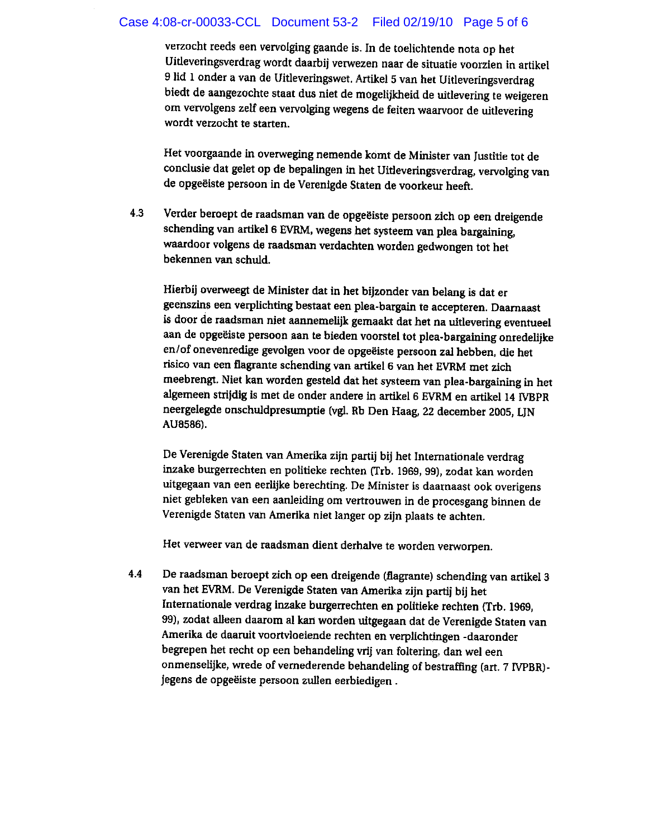### Case 4:08-cr-00033-CCL Document 53-2 Filed 02/19/10 Page 5 of 6

verzocht reeds een vervolging gaande is. In de toelichtende nota op het Uitleveringsverdrag wordt daarbij verwezen naar de situatie voorzien in artikel 9 lid 1 onder a van de Uitleveringswet. Artikel 5 van het Uitleveringsverdrag biedt de aangezochte staat dus niet de mogelijkheid de uitlevering te weigeren om vervolgens zelf een vervolging wegens de feiten waarvoor de uitlevering wordt verzocht te starten.

Het voorgaande in overweging nemende komt de Minister van Justitie tot de conclusie dat gelet op de bepalingen in het Uitleveringsverdrag, vervolging van de opgeëiste persoon in de Verenigde Staten de voorkeur heeft.

Verder beroept de raadsman van de opgeëiste persoon zich op een dreigende  $4.3$ schending van artikel 6 EVRM, wegens het systeem van plea bargaining, waardoor volgens de raadsman verdachten worden gedwongen tot het bekennen van schuld.

Hierbij overweegt de Minister dat in het bijzonder van belang is dat er geenszins een verplichting bestaat een plea-bargain te accepteren. Daarnaast is door de raadsman niet aannemelijk gemaakt dat het na uitlevering eventueel aan de opgeëiste persoon aan te bieden voorstel tot plea-bargaining onredelijke en/of onevenredige gevolgen voor de opgeëiste persoon zal hebben, die het risico van een flagrante schending van artikel 6 van het EVRM met zich meebrengt. Niet kan worden gesteld dat het systeem van plea-bargaining in het algemeen strijdig is met de onder andere in artikel 6 EVRM en artikel 14 IVBPR neergelegde onschuldpresumptie (vgl. Rb Den Haag, 22 december 2005, LJN AU8586).

De Verenigde Staten van Amerika zijn partij bij het Internationale verdrag inzake burgerrechten en politieke rechten (Trb. 1969, 99), zodat kan worden uitgegaan van een eerlijke berechting. De Minister is daarnaast ook overigens niet gebleken van een aanleiding om vertrouwen in de procesgang binnen de Verenigde Staten van Amerika niet langer op zijn plaats te achten.

Het verweer van de raadsman dient derhalve te worden verworpen.

De raadsman beroept zich op een dreigende (flagrante) schending van artikel 3 4.4 van het EVRM. De Verenigde Staten van Amerika zijn partij bij het Internationale verdrag inzake burgerrechten en politieke rechten (Trb. 1969, 99), zodat alleen daarom al kan worden uitgegaan dat de Verenigde Staten van Amerika de daaruit voortvloeiende rechten en verplichtingen -daaronder begrepen het recht op een behandeling vrij van foltering, dan wel een onmenselijke, wrede of vernederende behandeling of bestraffing (art. 7 IVPBR)jegens de opgeëiste persoon zullen eerbiedigen.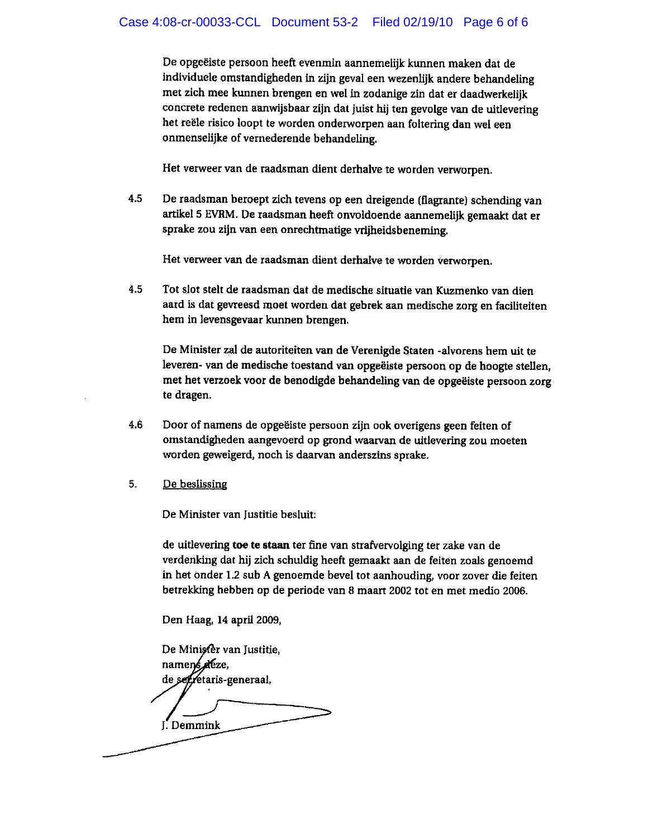De opgeëiste persoon heeft evenmin aannemelijk kunnen maken dat de individuele omstandigheden in zijn geval een wezenlijk andere behandeling met zich mee kunnen brengen en wel in zodanige zin dat er daadwerkelijk concrete redenen aanwijsbaar zijn dat juist hij ten gevolge van de uitlevering het reële risico loopt te worden onderworpen aan foltering dan wel een onmenselijke of vernederende behandeling.

Het verweer van de raadsman dient derhalve te worden verworpen.

4.5 De raadsman beroept zich tevens op een dreigende (flagrante) schending van artikel 5 EVRM. De raadsman heeft onvoldoende aannemelijk gemaakt dat er sprake zou zijn van een onrechtmatige vrijheidsbeneming.

Het verweer van de raadsman dient derhalve te worden verworpen.

4.5 Tot slot stelt de raadsman dat de medische situatie van Kuzmenko van dien aard is dat gevreesd moet worden dat gebrek aan medische zorg en faciliteiten hem in levensgevaar kunnen brengen.

De Minister zal de autoriteiten van de Verenigde Staten -alvorens hem uit te leveren- van de medische toestand van opgeëiste persoon op de hoogte stellen, met het verzoek voor de benodigde behandeling van de opgeëiste persoon zorg te dragen.

- 4.6 Door of namens de opgeëiste persoon zijn ook overigens geen feiten of ornstandigheden aangevoerd op grond waarvan de uitlevering zou moeten worden geweigerd, noch is daarvan anderszins sprake.
- 5. De beslissing

De Minister van Justitie besluit:

de uitlevering toe te staan ter fine van strafvervolging ter zake van de verdenking dat hij zich schuldig heeft gemaakt aan de feiten zoals genoemd in het onder 1.2 sub A genoemde bevel tot aanhouding, voor zover die feiten betrekking hebben op de periode van 8 maart 2002 tot en met medio 2006.

Den Haag, 14 april 2009,

De Miniscer van Justitie, namens deze, de segretaris-generaal, J. Demmink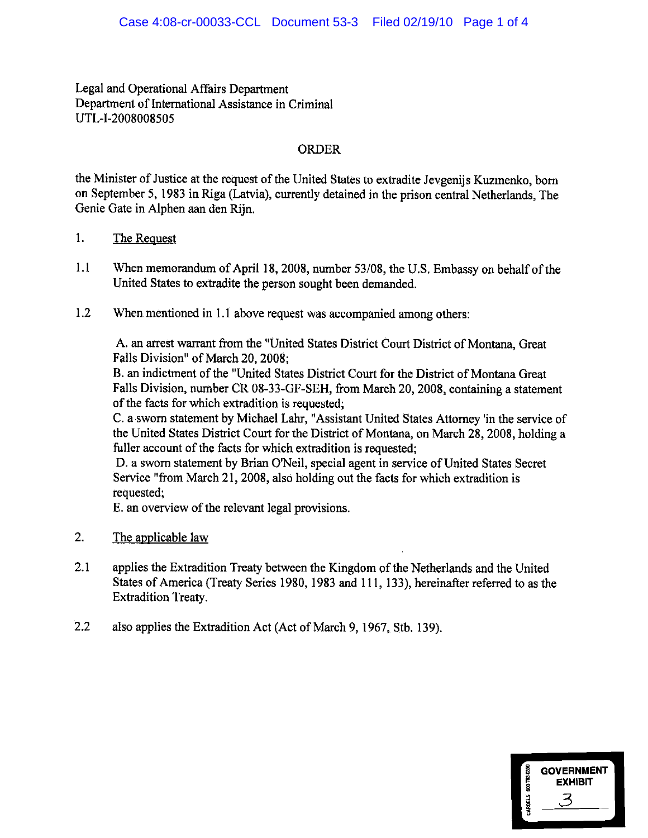Legal and Operational Affairs Department Department of International Assistance in Criminal UTL-I-2008008505

### **ORDER**

the Minister of Justice at the request of the United States to extradite Jevgenijs Kuzmenko, born on September 5, 1983 in Riga (Latvia), currently detained in the prison central Netherlands. The Genie Gate in Alphen aan den Rijn.

- $1.$ The Request
- $1.1$ When memorandum of April 18, 2008, number 53/08, the U.S. Embassy on behalf of the United States to extradite the person sought been demanded.
- $1.2$ When mentioned in 1.1 above request was accompanied among others:

A. an arrest warrant from the "United States District Court District of Montana, Great Falls Division" of March 20, 2008;

B. an indictment of the "United States District Court for the District of Montana Great Falls Division, number CR 08-33-GF-SEH, from March 20, 2008, containing a statement of the facts for which extradition is requested;

C. a sworn statement by Michael Lahr, "Assistant United States Attorney 'in the service of the United States District Court for the District of Montana, on March 28, 2008, holding a fuller account of the facts for which extradition is requested;

D. a sworn statement by Brian O'Neil, special agent in service of United States Secret Service "from March 21, 2008, also holding out the facts for which extradition is requested;

E. an overview of the relevant legal provisions.

- $2.$ The applicable law
- $2.1$ applies the Extradition Treaty between the Kingdom of the Netherlands and the United States of America (Treaty Series 1980, 1983 and 111, 133), hereinafter referred to as the **Extradition Treaty.**
- $2.2$ also applies the Extradition Act (Act of March 9, 1967, Stb. 139).

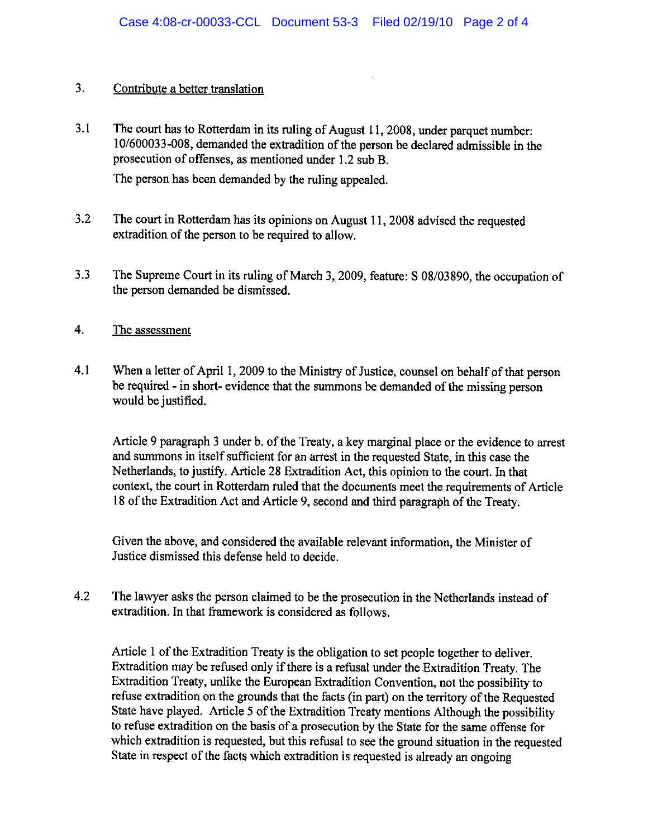#### $3.$ Contribute a better translation

 $3.1$ The court has to Rotterdam in its ruling of August 11, 2008, under parquet number: 10/600033-008, demanded the extradition of the person be declared admissible in the prosecution of offenses, as mentioned under 1.2 sub B.

The person has been demanded by the ruling appealed.

- $3.2$ The court in Rotterdam has its opinions on August 11, 2008 advised the requested extradition of the person to be required to allow.
- $3.3$ The Supreme Court in its ruling of March 3, 2009, feature: S 08/03890, the occupation of the person demanded be dismissed.
- $\overline{4}$ . The assessment
- $4.1$ When a letter of April 1, 2009 to the Ministry of Justice, counsel on behalf of that person be required - in short- evidence that the summons be demanded of the missing person would be justified.

Article 9 paragraph 3 under b. of the Treaty, a key marginal place or the evidence to arrest and summons in itself sufficient for an arrest in the requested State, in this case the Netherlands, to justify. Article 28 Extradition Act, this opinion to the court. In that context, the court in Rotterdam ruled that the documents meet the requirements of Article 18 of the Extradition Act and Article 9, second and third paragraph of the Treaty.

Given the above, and considered the available relevant information, the Minister of Justice dismissed this defense held to decide.

 $4.2$ The lawyer asks the person claimed to be the prosecution in the Netherlands instead of extradition. In that framework is considered as follows.

Article 1 of the Extradition Treaty is the obligation to set people together to deliver. Extradition may be refused only if there is a refusal under the Extradition Treaty. The Extradition Treaty, unlike the European Extradition Convention, not the possibility to refuse extradition on the grounds that the facts (in part) on the territory of the Requested State have played. Article 5 of the Extradition Treaty mentions Although the possibility to refuse extradition on the basis of a prosecution by the State for the same offense for which extradition is requested, but this refusal to see the ground situation in the requested State in respect of the facts which extradition is requested is already an ongoing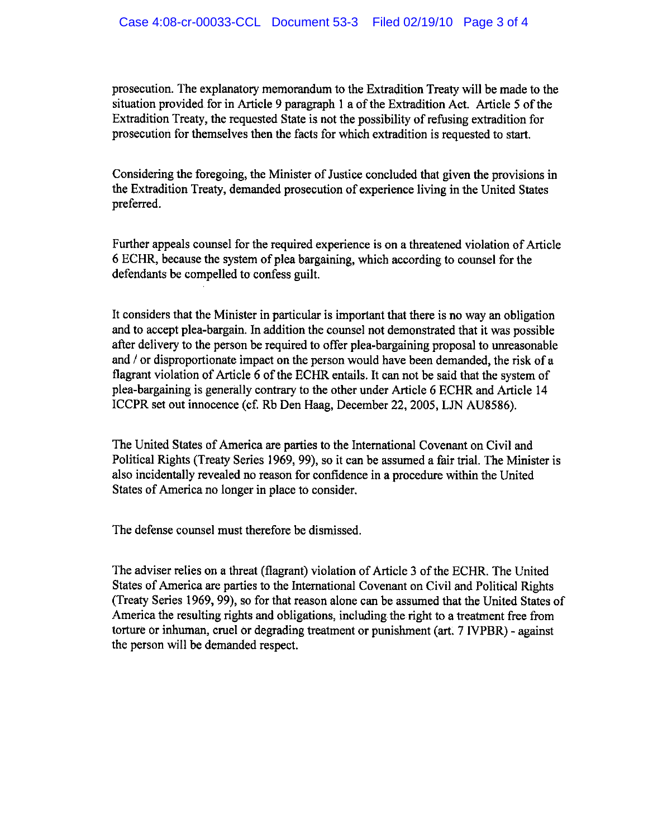prosecution. The explanatory memorandum to the Extradition Treaty will be made to the situation provided for in Article 9 paragraph 1 a of the Extradition Act. Article 5 of the Extradition Treaty, the requested State is not the possibility of refusing extradition for prosecution for themselves then the facts for which extradition is requested to start.

Considering the foregoing, the Minister of Justice concluded that given the provisions in the Extradition Treaty, demanded prosecution of experience living in the United States preferred.

Further appeals counsel for the required experience is on a threatened violation of Article 6 ECHR, because the system of plea bargaining, which according to counsel for the defendants be compelled to confess guilt.

It considers that the Minister in particular is important that there is no way an obligation and to accept plea-bargain. In addition the counsel not demonstrated that it was possible after delivery to the person be required to offer plea-bargaining proposal to unreasonable and / or disproportionate impact on the person would have been demanded, the risk of a flagrant violation of Article 6 of the ECHR entails. It can not be said that the system of plea-bargaining is generally contrary to the other under Article 6 ECHR and Article 14 ICCPR set out innocence (cf. Rb Den Haag, December 22, 2005, LJN AU8586).

The United States of America are parties to the International Covenant on Civil and Political Rights (Treaty Series 1969, 99), so it can be assumed a fair trial. The Minister is also incidentally revealed no reason for confidence in a procedure within the United States of America no longer in place to consider.

The defense counsel must therefore be dismissed.

The adviser relies on a threat (flagrant) violation of Article 3 of the ECHR. The United States of America are parties to the International Covenant on Civil and Political Rights (Treaty Series 1969, 99), so for that reason alone can be assumed that the United States of America the resulting rights and obligations, including the right to a treatment free from torture or inhuman, cruel or degrading treatment or punishment (art. 7 IVPBR) - against the person will be demanded respect.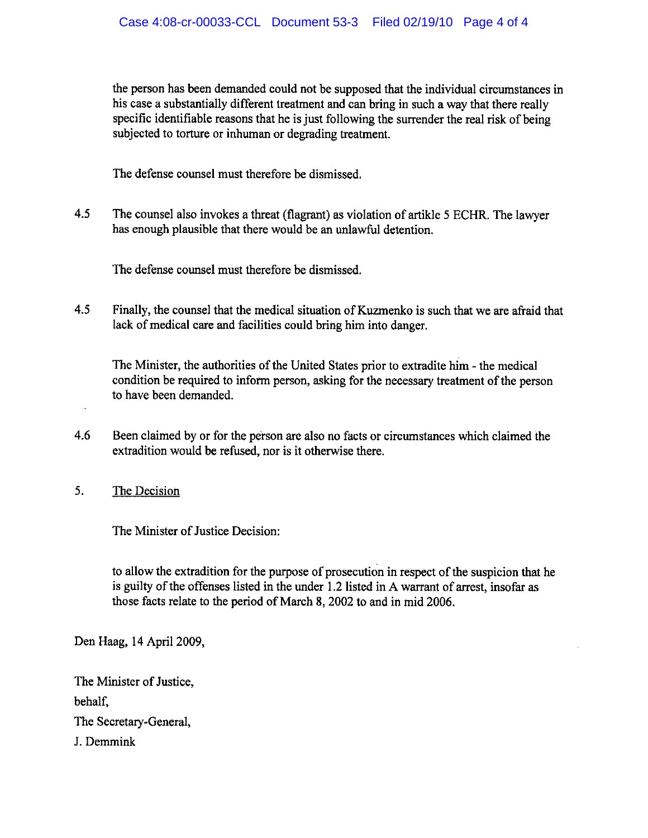the person has been demanded could not be supposed that the individual circumstances in his case a substantially different treatment and can bring in such a way that there really specific identifiable reasons that he is just following the surrender the real risk of being subjected to torture or inhuman or degrading treatment.

The defense counsel must therefore be dismissed.

 $4.5$ The counsel also invokes a threat (flagrant) as violation of artikle 5 ECHR. The lawyer has enough plausible that there would be an unlawful detention.

The defense counsel must therefore be dismissed.

 $4.5$ Finally, the counsel that the medical situation of Kuzmenko is such that we are afraid that lack of medical care and facilities could bring him into danger.

The Minister, the authorities of the United States prior to extradite him - the medical condition be required to inform person, asking for the necessary treatment of the person to have been demanded.

4.6 Been claimed by or for the person are also no facts or circumstances which claimed the extradition would be refused, nor is it otherwise there.

 $5.$ The Decision

The Minister of Justice Decision:

to allow the extradition for the purpose of prosecution in respect of the suspicion that he is guilty of the offenses listed in the under 1.2 listed in A warrant of arrest, insofar as those facts relate to the period of March 8, 2002 to and in mid 2006.

Den Haag, 14 April 2009,

The Minister of Justice, behalf. The Secretary-General, J. Demmink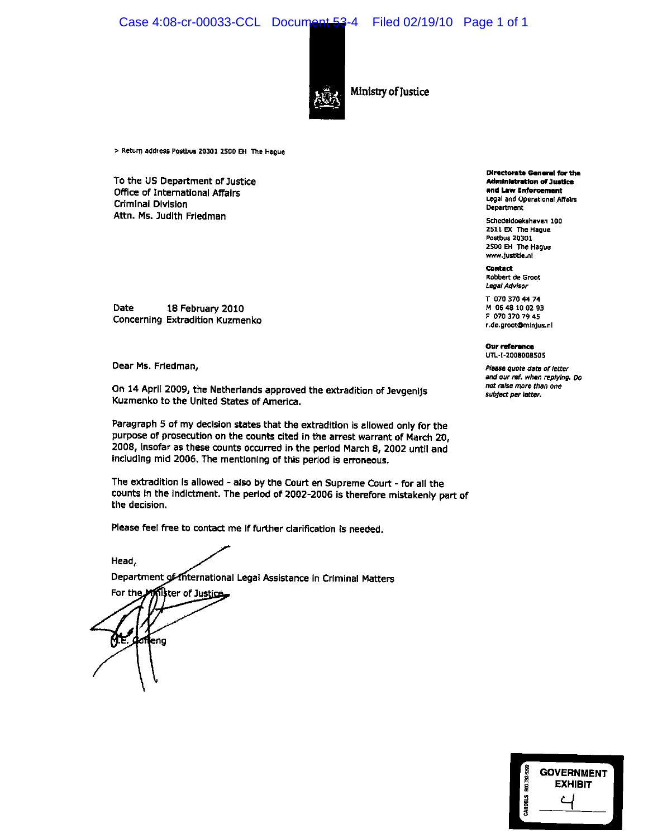Case 4:08-cr-00033-CCL Document 53-4 Filed 02/19/10 Page 1 of 1



Ministry of Justice

> Return address Postbus 20301 2500 EH The Hague

To the US Department of Justice Office of International Affairs **Criminal Division** Attn. Ms. Judith Friedman

Date 18 February 2010 Concerning Extradition Kuzmenko

Dear Ms. Friedman,

On 14 April 2009, the Netherlands approved the extradition of Jevgenijs Kuzmenko to the United States of America.

Paragraph 5 of my decision states that the extradition is allowed only for the purpose of prosecution on the counts cited in the arrest warrant of March 20, 2008, insofar as these counts occurred in the period March 8, 2002 until and including mid 2006. The mentioning of this period is erroneous.

The extradition is allowed - also by the Court en Supreme Court - for all the counts in the indictment. The period of 2002-2006 is therefore mistakenly part of the decision.

Please feel free to contact me if further clarification is needed.

Department of International Legal Assistance in Criminal Matters

**ili**ter of Ju<u>stice</u> For the doffeng ŊΈ.

Head,

**Directorate General for the Administration of Justice** and Law Enforcement Legal and Operational Affairs Department

Schedeldoekshaven 100 2511 EX The Hague **Postbus 20301** 2500 EH The Hague www.justitie.nl

Contact Robbert de Groot Legal Advisor

T 070 370 44 74 M 06 48 10 02 93 F 070 370 79 45 r.de.groot@minjus.nl

Our reference UTL-1-2008008505

Please quote date of letter and our ref. when replying. Do not raise more than one subject per letter.

| 800-783-0389 | <b>GOVERNMENT</b><br><b>EXHIBIT</b> |
|--------------|-------------------------------------|
| CHRIDELS     |                                     |
|              |                                     |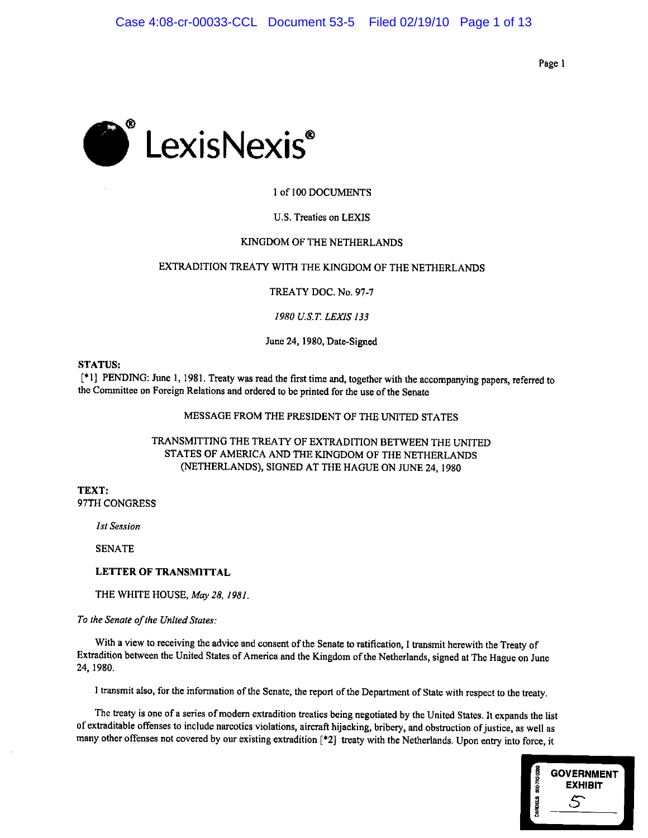Page 1



### 1 of 100 DOCUMENTS

#### U.S. Treaties on LEXIS

#### KINGDOM OF THE NETHERLANDS

### EXTRADITION TREATY WITH THE KINGDOM OF THE NETHERLANDS

TREATY DOC. No. 97-7

#### 1980 U.S.T. LEXIS 133

June 24, 1980, Date-Signed

#### **STATUS:**

[\*1] PENDING: June 1, 1981. Treaty was read the first time and, together with the accompanying papers, referred to the Committee on Foreign Relations and ordered to be printed for the use of the Senate

### MESSAGE FROM THE PRESIDENT OF THE UNITED STATES

### TRANSMITTING THE TREATY OF EXTRADITION BETWEEN THE UNITED STATES OF AMERICA AND THE KINGDOM OF THE NETHERLANDS (NETHERLANDS), SIGNED AT THE HAGUE ON JUNE 24, 1980

TEXT: 97TH CONGRESS

**1st Session** 

**SENATE** 

### LETTER OF TRANSMITTAL

THE WHITE HOUSE, May 28, 1981.

To the Senate of the United States:

With a view to receiving the advice and consent of the Senate to ratification, I transmit herewith the Treaty of Extradition between the United States of America and the Kingdom of the Netherlands, signed at The Hague on June 24, 1980.

I transmit also, for the information of the Senate, the report of the Department of State with respect to the treaty.

The treaty is one of a series of modern extradition treaties being negotiated by the United States. It expands the list of extraditable offenses to include narcotics violations, aircraft hijacking, bribery, and obstruction of justice, as well as many other offenses not covered by our existing extradition [\*2] treaty with the Netherlands. Upon entry into force, it

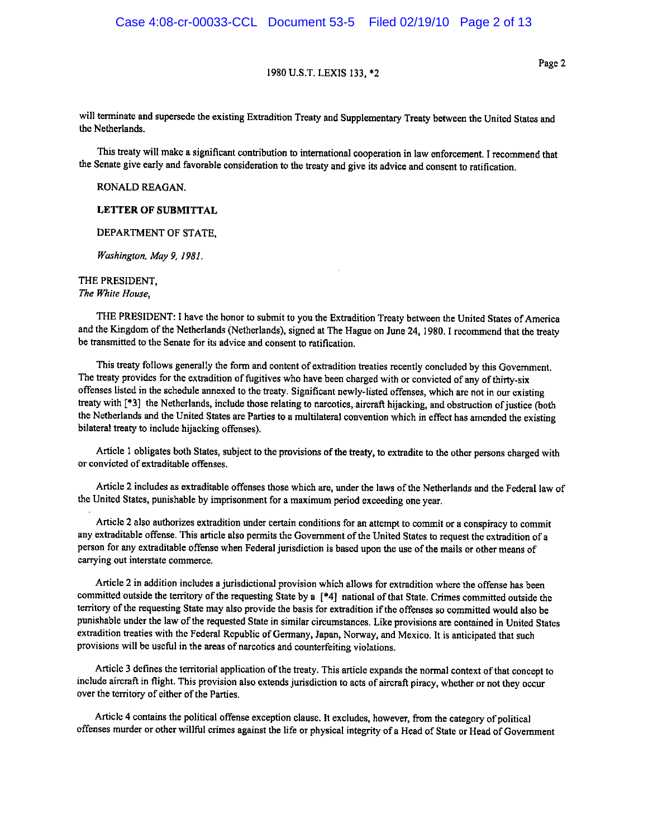Page 2

will terminate and supersede the existing Extradition Treaty and Supplementary Treaty between the United States and the Netherlands.

This treaty will make a significant contribution to international cooperation in law enforcement. I recommend that the Senate give early and favorable consideration to the treaty and give its advice and consent to ratification.

RONALD REAGAN.

**LETTER OF SUBMITTAL** 

DEPARTMENT OF STATE.

Washington, May 9, 1981.

THE PRESIDENT, The White House.

THE PRESIDENT: I have the honor to submit to you the Extradition Treaty between the United States of America and the Kingdom of the Netherlands (Netherlands), signed at The Hague on June 24, 1980. I recommend that the treaty be transmitted to the Senate for its advice and consent to ratification.

This treaty follows generally the form and content of extradition treaties recently concluded by this Government. The treaty provides for the extradition of fugitives who have been charged with or convicted of any of thirty-six offenses listed in the schedule annexed to the treaty. Significant newly-listed offenses, which are not in our existing treaty with [\*3] the Netherlands, include those relating to narcotics, aircraft hijacking, and obstruction of justice (both the Netherlands and the United States are Parties to a multilateral convention which in effect has amended the existing bilateral treaty to include hijacking offenses).

Article 1 obligates both States, subject to the provisions of the treaty, to extradite to the other persons charged with or convicted of extraditable offenses.

Article 2 includes as extraditable offenses those which are, under the laws of the Netherlands and the Federal law of the United States, punishable by imprisonment for a maximum period exceeding one year.

Article 2 also authorizes extradition under certain conditions for an attempt to commit or a conspiracy to commit any extraditable offense. This article also permits the Government of the United States to request the extradition of a person for any extraditable offense when Federal jurisdiction is based upon the use of the mails or other means of carrying out interstate commerce.

Article 2 in addition includes a jurisdictional provision which allows for extradition where the offense has been committed outside the territory of the requesting State by a [\*4] national of that State. Crimes committed outside the territory of the requesting State may also provide the basis for extradition if the offenses so committed would also be punishable under the law of the requested State in similar circumstances. Like provisions are contained in United States extradition treaties with the Federal Republic of Germany, Japan, Norway, and Mexico. It is anticipated that such provisions will be useful in the areas of narcotics and counterfeiting violations.

Article 3 defines the territorial application of the treaty. This article expands the normal context of that concept to include aircraft in flight. This provision also extends jurisdiction to acts of aircraft piracy, whether or not they occur over the territory of either of the Parties.

Article 4 contains the political offense exception clause. It excludes, however, from the category of political offenses murder or other willful crimes against the life or physical integrity of a Head of State or Head of Government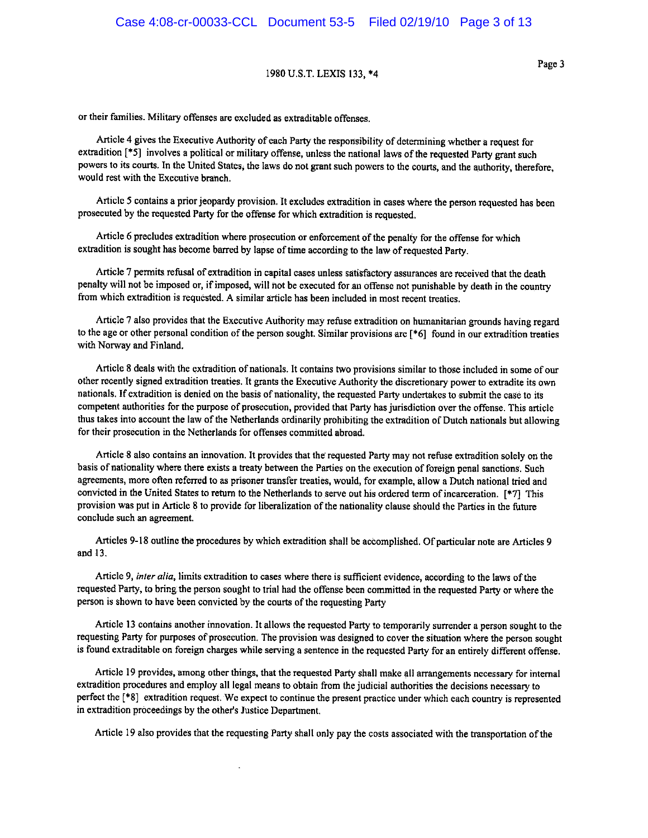or their families. Military offenses are excluded as extraditable offenses.

Article 4 gives the Executive Authority of each Party the responsibility of determining whether a request for extradition [\*5] involves a political or military offense, unless the national laws of the requested Party grant such powers to its courts. In the United States, the laws do not grant such powers to the courts, and the authority, therefore, would rest with the Executive branch.

Article 5 contains a prior jeopardy provision. It excludes extradition in cases where the person requested has been prosecuted by the requested Party for the offense for which extradition is requested.

Article 6 precludes extradition where prosecution or enforcement of the penalty for the offense for which extradition is sought has become barred by lapse of time according to the law of requested Party.

Article 7 permits refusal of extradition in capital cases unless satisfactory assurances are received that the death penalty will not be imposed or, if imposed, will not be executed for an offense not punishable by death in the country from which extradition is requested. A similar article has been included in most recent treaties.

Article 7 also provides that the Executive Authority may refuse extradition on humanitarian grounds having regard to the age or other personal condition of the person sought. Similar provisions are [\*6] found in our extradition treaties with Norway and Finland.

Article 8 deals with the extradition of nationals. It contains two provisions similar to those included in some of our other recently signed extradition treaties. It grants the Executive Authority the discretionary power to extradite its own nationals. If extradition is denied on the basis of nationality, the requested Party undertakes to submit the case to its competent authorities for the purpose of prosecution, provided that Party has jurisdiction over the offense. This article thus takes into account the law of the Netherlands ordinarily prohibiting the extradition of Dutch nationals but allowing for their prosecution in the Netherlands for offenses committed abroad.

Article 8 also contains an innovation. It provides that the requested Party may not refuse extradition solely on the basis of nationality where there exists a treaty between the Parties on the execution of foreign penal sanctions. Such agreements, more often referred to as prisoner transfer treaties, would, for example, allow a Dutch national tried and convicted in the United States to return to the Netherlands to serve out his ordered term of incarceration. [\*7] This provision was put in Article 8 to provide for liberalization of the nationality clause should the Parties in the future conclude such an agreement.

Articles 9-18 outline the procedures by which extradition shall be accomplished. Of particular note are Articles 9 and 13.

Article 9, inter alia, limits extradition to cases where there is sufficient evidence, according to the laws of the requested Party, to bring the person sought to trial had the offense been committed in the requested Party or where the person is shown to have been convicted by the courts of the requesting Party

Article 13 contains another innovation. It allows the requested Party to temporarily surrender a person sought to the requesting Party for purposes of prosecution. The provision was designed to cover the situation where the person sought is found extraditable on foreign charges while serving a sentence in the requested Party for an entirely different offense.

Article 19 provides, among other things, that the requested Party shall make all arrangements necessary for internal extradition procedures and employ all legal means to obtain from the judicial authorities the decisions necessary to perfect the [\*8] extradition request. We expect to continue the present practice under which each country is represented in extradition proceedings by the other's Justice Department.

Article 19 also provides that the requesting Party shall only pay the costs associated with the transportation of the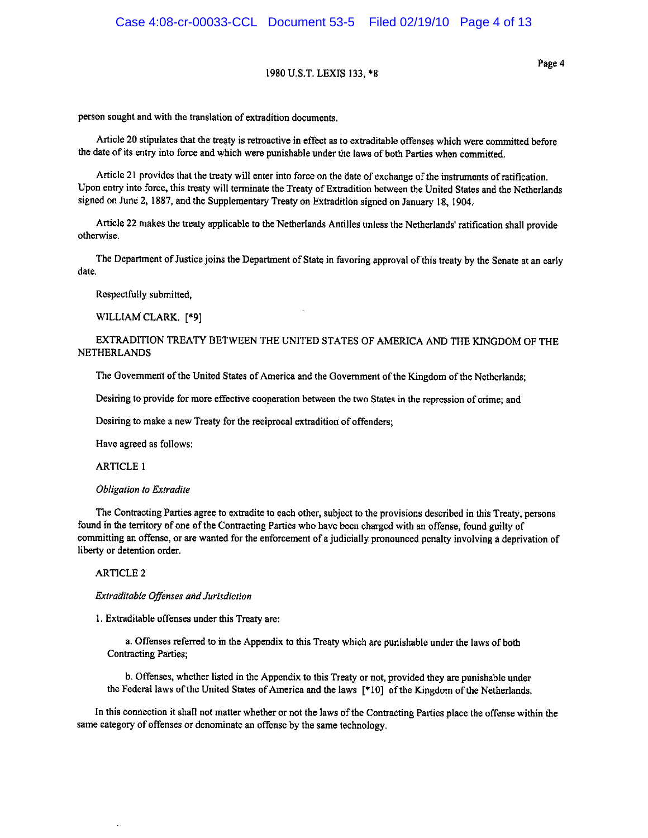Page 4

person sought and with the translation of extradition documents.

Article 20 stipulates that the treaty is retroactive in effect as to extraditable offenses which were committed before the date of its entry into force and which were punishable under the laws of both Parties when committed.

Article 21 provides that the treaty will enter into force on the date of exchange of the instruments of ratification. Upon entry into force, this treaty will terminate the Treaty of Extradition between the United States and the Netherlands signed on June 2, 1887, and the Supplementary Treaty on Extradition signed on January 18, 1904.

Article 22 makes the treaty applicable to the Netherlands Antilles unless the Netherlands' ratification shall provide otherwise.

The Department of Justice joins the Department of State in favoring approval of this treaty by the Senate at an early date.

Respectfully submitted,

WILLIAM CLARK. [\*9]

### EXTRADITION TREATY BETWEEN THE UNITED STATES OF AMERICA AND THE KINGDOM OF THE **NETHERLANDS**

The Government of the United States of America and the Government of the Kingdom of the Netherlands;

Desiring to provide for more effective cooperation between the two States in the repression of crime; and

Desiring to make a new Treaty for the reciprocal extradition of offenders;

Have agreed as follows:

**ARTICLE 1** 

#### **Obligation to Extradite**

The Contracting Parties agree to extradite to each other, subject to the provisions described in this Treaty, persons found in the territory of one of the Contracting Parties who have been charged with an offense, found guilty of committing an offense, or are wanted for the enforcement of a judicially pronounced penalty involving a deprivation of liberty or detention order.

#### **ARTICLE 2**

Extraditable Offenses and Jurisdiction

1. Extraditable offenses under this Treaty are:

a. Offenses referred to in the Appendix to this Treaty which are punishable under the laws of both **Contracting Parties;** 

b. Offenses, whether listed in the Appendix to this Treaty or not, provided they are punishable under the Federal laws of the United States of America and the laws [\*10] of the Kingdom of the Netherlands.

In this connection it shall not matter whether or not the laws of the Contracting Parties place the offense within the same category of offenses or denominate an offense by the same technology.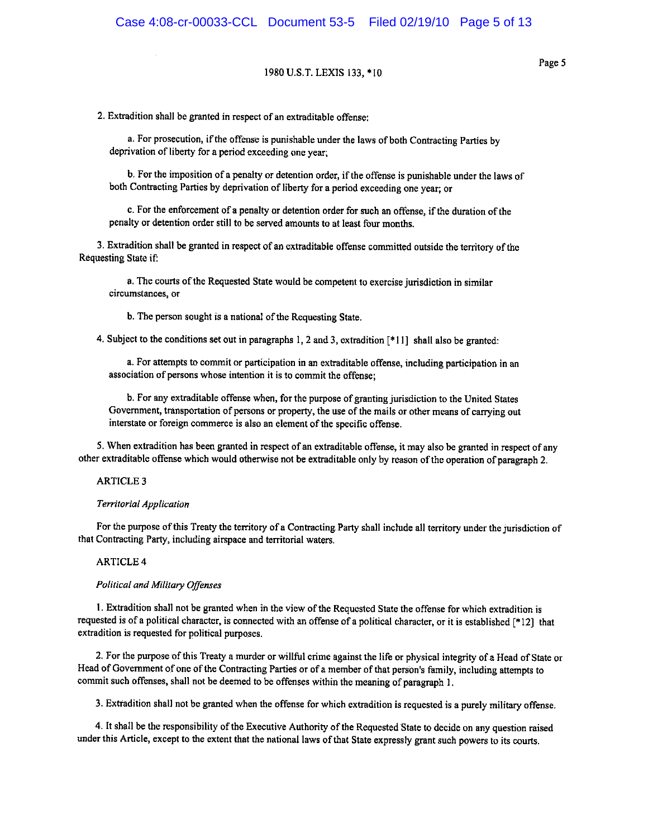2. Extradition shall be granted in respect of an extraditable offense:

a. For prosecution, if the offense is punishable under the laws of both Contracting Parties by deprivation of liberty for a period exceeding one year;

b. For the imposition of a penalty or detention order, if the offense is punishable under the laws of both Contracting Parties by deprivation of liberty for a period exceeding one year; or

c. For the enforcement of a penalty or detention order for such an offense, if the duration of the penalty or detention order still to be served amounts to at least four months.

3. Extradition shall be granted in respect of an extraditable offense committed outside the territory of the Requesting State if:

a. The courts of the Requested State would be competent to exercise jurisdiction in similar circumstances, or

b. The person sought is a national of the Requesting State.

4. Subject to the conditions set out in paragraphs 1, 2 and 3, extradition [\*11] shall also be granted:

a. For attempts to commit or participation in an extraditable offense, including participation in an association of persons whose intention it is to commit the offense;

b. For any extraditable offense when, for the purpose of granting jurisdiction to the United States Government, transportation of persons or property, the use of the mails or other means of carrying out interstate or foreign commerce is also an element of the specific offense.

5. When extradition has been granted in respect of an extraditable offense, it may also be granted in respect of any other extraditable offense which would otherwise not be extraditable only by reason of the operation of paragraph 2.

#### **ARTICLE 3**

#### **Territorial Application**

For the purpose of this Treaty the territory of a Contracting Party shall include all territory under the jurisdiction of that Contracting Party, including airspace and territorial waters.

#### **ARTICLE 4**

#### **Political and Military Offenses**

1. Extradition shall not be granted when in the view of the Requested State the offense for which extradition is requested is of a political character, is connected with an offense of a political character, or it is established [\*12] that extradition is requested for political purposes.

2. For the purpose of this Treaty a murder or willful crime against the life or physical integrity of a Head of State or Head of Government of one of the Contracting Parties or of a member of that person's family, including attempts to commit such offenses, shall not be deemed to be offenses within the meaning of paragraph 1.

3. Extradition shall not be granted when the offense for which extradition is requested is a purely military offense.

4. It shall be the responsibility of the Executive Authority of the Requested State to decide on any question raised under this Article, except to the extent that the national laws of that State expressly grant such powers to its courts.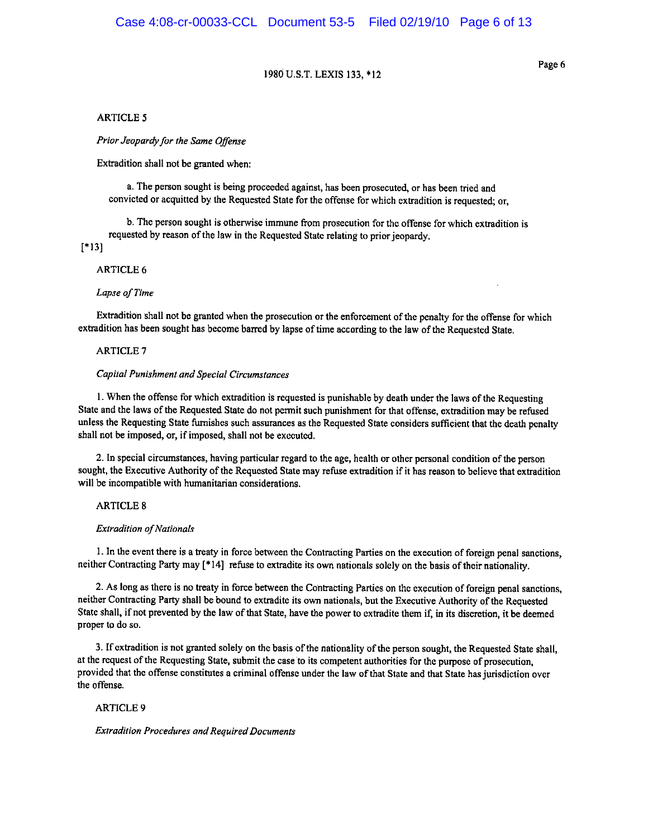Page 6

#### **ARTICLE 5**

Prior Jeopardy for the Same Offense

Extradition shall not be granted when:

a. The person sought is being proceeded against, has been prosecuted, or has been tried and convicted or acquitted by the Requested State for the offense for which extradition is requested; or,

b. The person sought is otherwise immune from prosecution for the offense for which extradition is requested by reason of the law in the Requested State relating to prior jeopardy.

 $[*13]$ 

#### **ARTICLE 6**

#### Lapse of Time

Extradition shall not be granted when the prosecution or the enforcement of the penalty for the offense for which extradition has been sought has become barred by lapse of time according to the law of the Requested State.

#### **ARTICLE 7**

#### **Capital Punishment and Special Circumstances**

1. When the offense for which extradition is requested is punishable by death under the laws of the Requesting State and the laws of the Requested State do not permit such punishment for that offense, extradition may be refused unless the Requesting State furnishes such assurances as the Requested State considers sufficient that the death penalty shall not be imposed, or, if imposed, shall not be executed.

2. In special circumstances, having particular regard to the age, health or other personal condition of the person sought, the Executive Authority of the Requested State may refuse extradition if it has reason to believe that extradition will be incompatible with humanitarian considerations.

#### **ARTICLE 8**

#### **Extradition of Nationals**

1. In the event there is a treaty in force between the Contracting Parties on the execution of foreign penal sanctions, neither Contracting Party may [\*14] refuse to extradite its own nationals solely on the basis of their nationality.

2. As long as there is no treaty in force between the Contracting Parties on the execution of foreign penal sanctions, neither Contracting Party shall be bound to extradite its own nationals, but the Executive Authority of the Requested State shall, if not prevented by the law of that State, have the power to extradite them if, in its discretion, it be deemed proper to do so.

3. If extradition is not granted solely on the basis of the nationality of the person sought, the Requested State shall, at the request of the Requesting State, submit the case to its competent authorities for the purpose of prosecution. provided that the offense constitutes a criminal offense under the law of that State and that State has jurisdiction over the offense.

#### **ARTICLE 9**

#### **Extradition Procedures and Required Documents**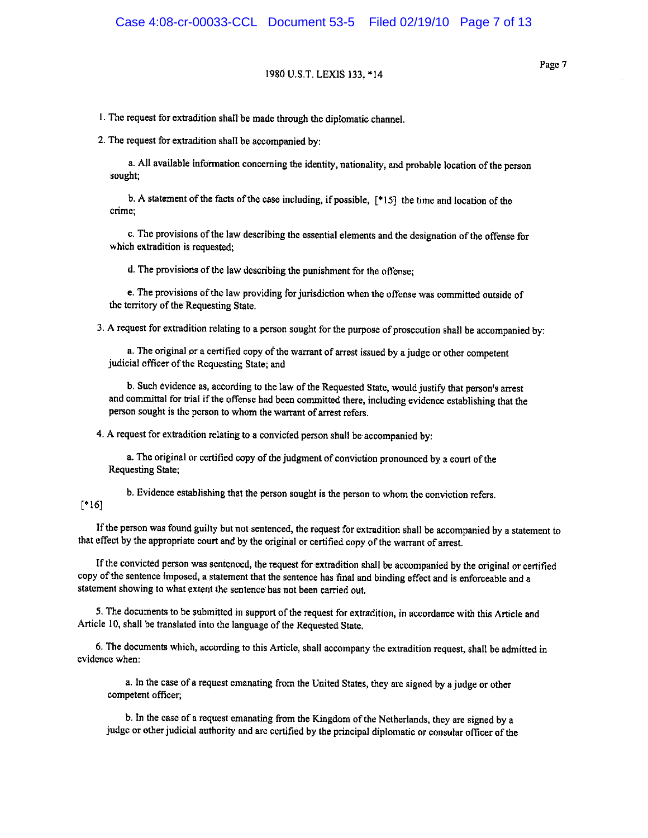1. The request for extradition shall be made through the diplomatic channel.

2. The request for extradition shall be accompanied by:

a. All available information concerning the identity, nationality, and probable location of the person sought;

b. A statement of the facts of the case including, if possible, [\*15] the time and location of the crime:

c. The provisions of the law describing the essential elements and the designation of the offense for which extradition is requested:

d. The provisions of the law describing the punishment for the offense;

e. The provisions of the law providing for jurisdiction when the offense was committed outside of the territory of the Requesting State.

3. A request for extradition relating to a person sought for the purpose of prosecution shall be accompanied by:

a. The original or a certified copy of the warrant of arrest issued by a judge or other competent judicial officer of the Requesting State; and

b. Such evidence as, according to the law of the Requested State, would justify that person's arrest and committal for trial if the offense had been committed there, including evidence establishing that the person sought is the person to whom the warrant of arrest refers.

4. A request for extradition relating to a convicted person shall be accompanied by:

a. The original or certified copy of the judgment of conviction pronounced by a court of the Requesting State;

b. Evidence establishing that the person sought is the person to whom the conviction refers.

### $[$  16]

If the person was found guilty but not sentenced, the request for extradition shall be accompanied by a statement to that effect by the appropriate court and by the original or certified copy of the warrant of arrest.

If the convicted person was sentenced, the request for extradition shall be accompanied by the original or certified copy of the sentence imposed, a statement that the sentence has final and binding effect and is enforceable and a statement showing to what extent the sentence has not been carried out.

5. The documents to be submitted in support of the request for extradition, in accordance with this Article and Article 10, shall be translated into the language of the Requested State.

6. The documents which, according to this Article, shall accompany the extradition request, shall be admitted in evidence when:

a. In the case of a request emanating from the United States, they are signed by a judge or other competent officer:

b. In the case of a request emanating from the Kingdom of the Netherlands, they are signed by a judge or other judicial authority and are certified by the principal diplomatic or consular officer of the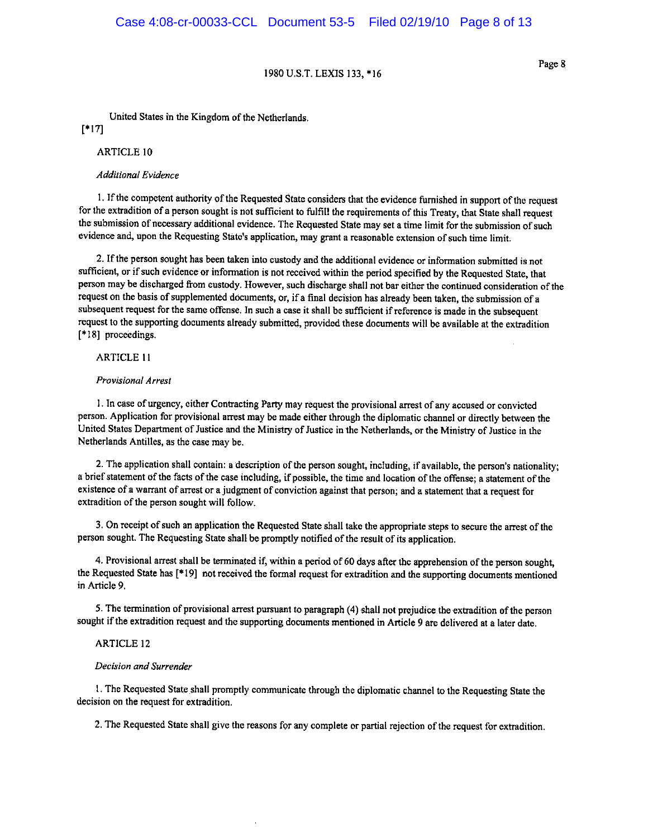Page 8

United States in the Kingdom of the Netherlands.

 $[*17]$ 

**ARTICLE 10** 

#### **Additional Evidence**

1. If the competent authority of the Requested State considers that the evidence furnished in support of the request for the extradition of a person sought is not sufficient to fulfill the requirements of this Treaty, that State shall request the submission of necessary additional evidence. The Requested State may set a time limit for the submission of such evidence and, upon the Requesting State's application, may grant a reasonable extension of such time limit.

2. If the person sought has been taken into custody and the additional evidence or information submitted is not sufficient, or if such evidence or information is not received within the period specified by the Requested State, that person may be discharged from custody. However, such discharge shall not bar either the continued consideration of the request on the basis of supplemented documents, or, if a final decision has already been taken, the submission of a subsequent request for the same offense. In such a case it shall be sufficient if reference is made in the subsequent request to the supporting documents already submitted, provided these documents will be available at the extradition [\*18] proceedings.

#### **ARTICLE 11**

#### Provisional Arrest

1. In case of urgency, either Contracting Party may request the provisional arrest of any accused or convicted person. Application for provisional arrest may be made either through the diplomatic channel or directly between the United States Department of Justice and the Ministry of Justice in the Netherlands, or the Ministry of Justice in the Netherlands Antilles, as the case may be.

2. The application shall contain: a description of the person sought, including, if available, the person's nationality; a brief statement of the facts of the case including, if possible, the time and location of the offense; a statement of the existence of a warrant of arrest or a judgment of conviction against that person; and a statement that a request for extradition of the person sought will follow.

3. On receipt of such an application the Requested State shall take the appropriate steps to secure the arrest of the person sought. The Requesting State shall be promptly notified of the result of its application.

4. Provisional arrest shall be terminated if, within a period of 60 days after the apprehension of the person sought, the Requested State has [\*19] not received the formal request for extradition and the supporting documents mentioned in Article 9.

5. The termination of provisional arrest pursuant to paragraph (4) shall not prejudice the extradition of the person sought if the extradition request and the supporting documents mentioned in Article 9 are delivered at a later date.

#### **ARTICLE 12**

#### Decision and Surrender

1. The Requested State shall promptly communicate through the diplomatic channel to the Requesting State the decision on the request for extradition.

2. The Requested State shall give the reasons for any complete or partial rejection of the request for extradition.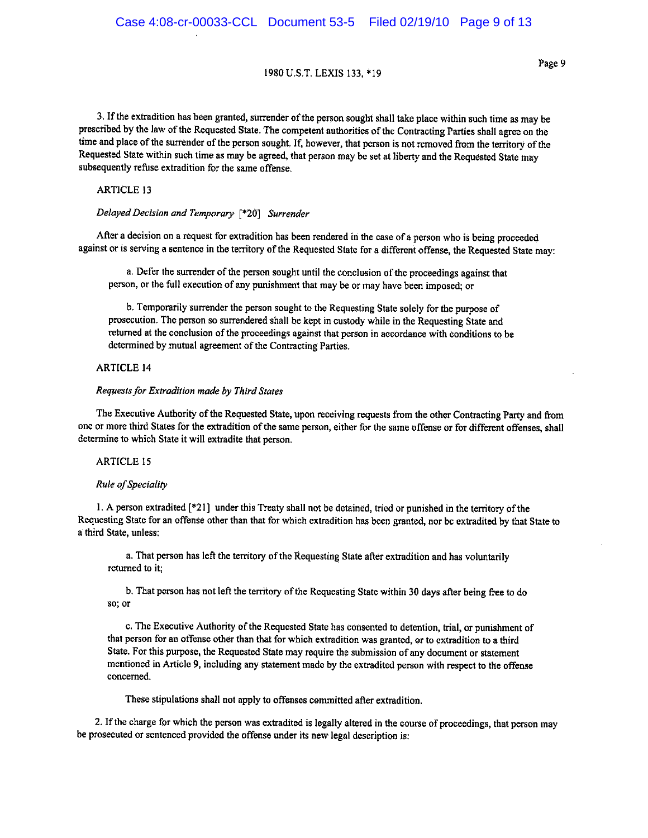3. If the extradition has been granted, surrender of the person sought shall take place within such time as may be prescribed by the law of the Requested State. The competent authorities of the Contracting Parties shall agree on the time and place of the surrender of the person sought. If, however, that person is not removed from the territory of the Requested State within such time as may be agreed, that person may be set at liberty and the Requested State may subsequently refuse extradition for the same offense.

#### **ARTICLE 13**

### Delayed Decision and Temporary [\*20] Surrender

After a decision on a request for extradition has been rendered in the case of a person who is being proceeded against or is serving a sentence in the territory of the Requested State for a different offense, the Requested State may:

a. Defer the surrender of the person sought until the conclusion of the proceedings against that person, or the full execution of any punishment that may be or may have been imposed; or

b. Temporarily surrender the person sought to the Requesting State solely for the purpose of prosecution. The person so surrendered shall be kept in custody while in the Requesting State and returned at the conclusion of the proceedings against that person in accordance with conditions to be determined by mutual agreement of the Contracting Parties.

#### **ARTICLE 14**

#### Requests for Extradition made by Third States

The Executive Authority of the Requested State, upon receiving requests from the other Contracting Party and from one or more third States for the extradition of the same person, either for the same offense or for different offenses, shall determine to which State it will extradite that person.

#### **ARTICLE 15**

#### Rule of Speciality

1. A person extradited [\*21] under this Treaty shall not be detained, tried or punished in the territory of the Requesting State for an offense other than that for which extradition has been granted, nor be extradited by that State to a third State, unless:

a. That person has left the territory of the Requesting State after extradition and has voluntarily returned to it;

b. That person has not left the territory of the Requesting State within 30 days after being free to do so; or

c. The Executive Authority of the Requested State has consented to detention, trial, or punishment of that person for an offense other than that for which extradition was granted, or to extradition to a third State. For this purpose, the Requested State may require the submission of any document or statement mentioned in Article 9, including any statement made by the extradited person with respect to the offense concerned.

These stipulations shall not apply to offenses committed after extradition.

2. If the charge for which the person was extradited is legally altered in the course of proceedings, that person may be prosecuted or sentenced provided the offense under its new legal description is: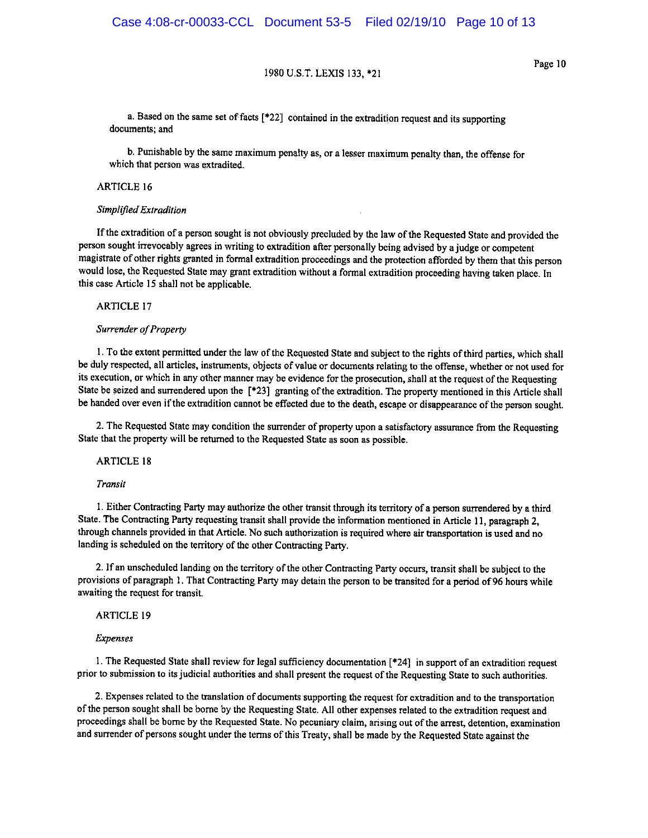Page 10

a. Based on the same set of facts  $[*22]$  contained in the extradition request and its supporting documents; and

b. Punishable by the same maximum penalty as, or a lesser maximum penalty than, the offense for which that person was extradited.

#### **ARTICLE 16**

#### Simplified Extradition

If the extradition of a person sought is not obviously precluded by the law of the Requested State and provided the person sought irrevocably agrees in writing to extradition after personally being advised by a judge or competent magistrate of other rights granted in formal extradition proceedings and the protection afforded by them that this person would lose, the Requested State may grant extradition without a formal extradition proceeding having taken place. In this case Article 15 shall not be applicable.

**ARTICLE 17** 

#### Surrender of Property

1. To the extent permitted under the law of the Requested State and subject to the rights of third parties, which shall be duly respected, all articles, instruments, objects of value or documents relating to the offense, whether or not used for its execution, or which in any other manner may be evidence for the prosecution, shall at the request of the Requesting State be seized and surrendered upon the [\*23] granting of the extradition. The property mentioned in this Article shall be handed over even if the extradition cannot be effected due to the death, escape or disappearance of the person sought.

2. The Requested State may condition the surrender of property upon a satisfactory assurance from the Requesting State that the property will be returned to the Requested State as soon as possible.

#### **ARTICLE 18**

#### Transit

1. Either Contracting Party may authorize the other transit through its territory of a person surrendered by a third State. The Contracting Party requesting transit shall provide the information mentioned in Article 11, paragraph 2, through channels provided in that Article. No such authorization is required where air transportation is used and no landing is scheduled on the territory of the other Contracting Party.

2. If an unscheduled landing on the territory of the other Contracting Party occurs, transit shall be subject to the provisions of paragraph 1. That Contracting Party may detain the person to be transited for a period of 96 hours while awaiting the request for transit.

#### **ARTICLE 19**

#### **Expenses**

1. The Requested State shall review for legal sufficiency documentation [\*24] in support of an extradition request prior to submission to its judicial authorities and shall present the request of the Requesting State to such authorities.

2. Expenses related to the translation of documents supporting the request for extradition and to the transportation of the person sought shall be borne by the Requesting State. All other expenses related to the extradition request and proceedings shall be borne by the Requested State. No pecuniary claim, arising out of the arrest, detention, examination and surrender of persons sought under the terms of this Treaty, shall be made by the Requested State against the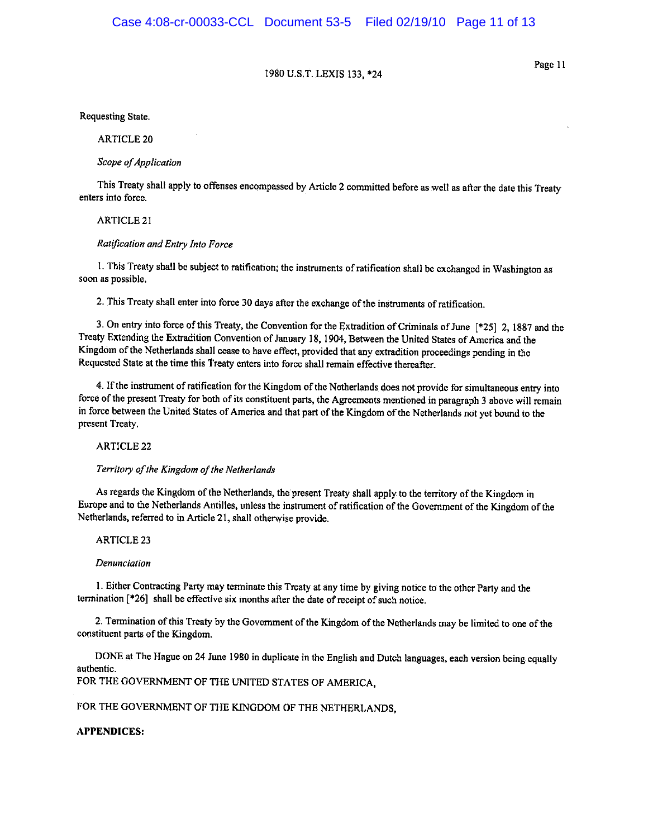Page 11

Requesting State.

**ARTICLE 20** 

Scope of Application

This Treaty shall apply to offenses encompassed by Article 2 committed before as well as after the date this Treaty enters into force.

**ARTICLE 21** 

#### Ratification and Entry Into Force

1. This Treaty shall be subject to ratification; the instruments of ratification shall be exchanged in Washington as soon as possible.

2. This Treaty shall enter into force 30 days after the exchange of the instruments of ratification.

3. On entry into force of this Treaty, the Convention for the Extradition of Criminals of June [\*25] 2, 1887 and the Treaty Extending the Extradition Convention of January 18, 1904, Between the United States of America and the Kingdom of the Netherlands shall cease to have effect, provided that any extradition proceedings pending in the Requested State at the time this Treaty enters into force shall remain effective thereafter.

4. If the instrument of ratification for the Kingdom of the Netherlands does not provide for simultaneous entry into force of the present Treaty for both of its constituent parts, the Agreements mentioned in paragraph 3 above will remain in force between the United States of America and that part of the Kingdom of the Netherlands not yet bound to the present Treaty.

**ARTICLE 22** 

#### Territory of the Kingdom of the Netherlands

As regards the Kingdom of the Netherlands, the present Treaty shall apply to the territory of the Kingdom in Europe and to the Netherlands Antilles, unless the instrument of ratification of the Government of the Kingdom of the Netherlands, referred to in Article 21, shall otherwise provide.

**ARTICLE 23** 

#### Denunciation

1. Either Contracting Party may terminate this Treaty at any time by giving notice to the other Party and the termination [\*26] shall be effective six months after the date of receipt of such notice.

2. Termination of this Treaty by the Government of the Kingdom of the Netherlands may be limited to one of the constituent parts of the Kingdom.

DONE at The Hague on 24 June 1980 in duplicate in the English and Dutch languages, each version being equally authentic

FOR THE GOVERNMENT OF THE UNITED STATES OF AMERICA,

#### FOR THE GOVERNMENT OF THE KINGDOM OF THE NETHERLANDS.

#### **APPENDICES:**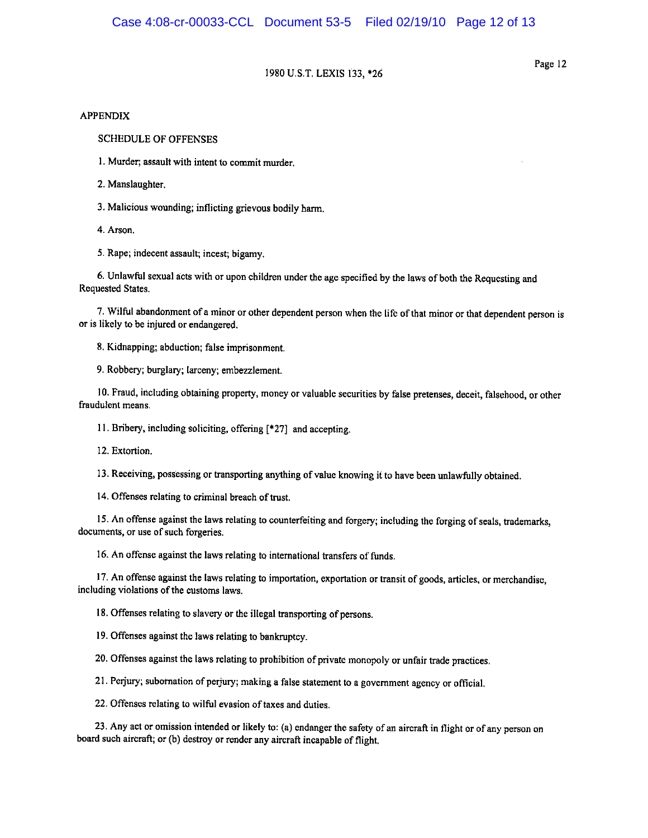Page 12

#### **APPENDIX**

**SCHEDULE OF OFFENSES** 

1. Murder; assault with intent to commit murder.

2. Manslaughter.

3. Malicious wounding; inflicting grievous bodily harm.

4. Arson.

5. Rape; indecent assault; incest; bigamy.

6. Unlawful sexual acts with or upon children under the age specified by the laws of both the Requesting and Requested States.

7. Wilful abandonment of a minor or other dependent person when the life of that minor or that dependent person is or is likely to be injured or endangered.

8. Kidnapping; abduction; false imprisonment.

9. Robbery; burglary; larceny; embezzlement.

10. Fraud, including obtaining property, money or valuable securities by false pretenses, deceit, falsehood, or other fraudulent means.

11. Bribery, including soliciting, offering [\*27] and accepting.

12. Extortion.

13. Receiving, possessing or transporting anything of value knowing it to have been unlawfully obtained.

14. Offenses relating to criminal breach of trust.

15. An offense against the laws relating to counterfeiting and forgery; including the forging of seals, trademarks, documents, or use of such forgeries.

16. An offense against the laws relating to international transfers of funds.

17. An offense against the laws relating to importation, exportation or transit of goods, articles, or merchandise, including violations of the customs laws.

18. Offenses relating to slavery or the illegal transporting of persons.

19. Offenses against the laws relating to bankruptcy.

20. Offenses against the laws relating to prohibition of private monopoly or unfair trade practices.

21. Perjury; subornation of perjury; making a false statement to a government agency or official.

22. Offenses relating to wilful evasion of taxes and duties.

23. Any act or omission intended or likely to: (a) endanger the safety of an aircraft in flight or of any person on board such aircraft; or (b) destroy or render any aircraft incapable of flight.